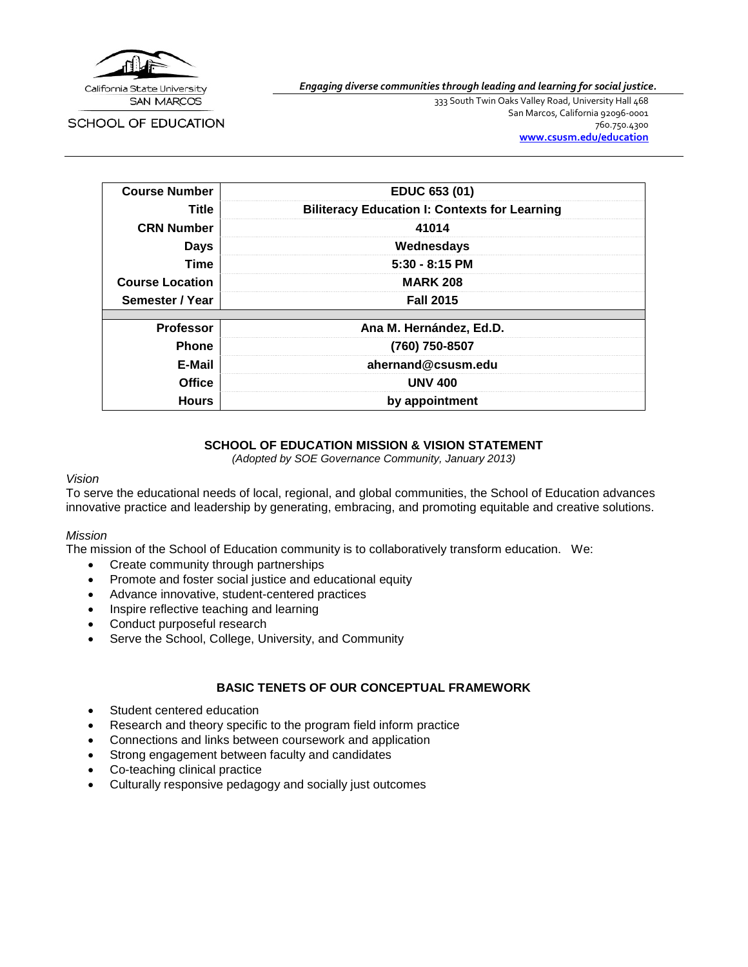

SCHOOL OF EDUCATION

*Engaging diverse communities through leading and learning for social justice.*

333 South Twin Oaks Valley Road, University Hall 468 San Marcos, California 92096-0001 760.750.4300 **[www.csusm.edu/education](http://www.csusm.edu/education)**

| <b>Course Number</b>   | EDUC 653 (01)                                        |
|------------------------|------------------------------------------------------|
| Title                  | <b>Biliteracy Education I: Contexts for Learning</b> |
| <b>CRN Number</b>      | 41014                                                |
| <b>Days</b>            | Wednesdays                                           |
| <b>Time</b>            | $5:30 - 8:15$ PM                                     |
| <b>Course Location</b> | <b>MARK 208</b>                                      |
| Semester / Year        | <b>Fall 2015</b>                                     |
|                        |                                                      |
| <b>Professor</b>       | Ana M. Hernández, Ed.D.                              |
| <b>Phone</b>           | (760) 750-8507                                       |
| E-Mail                 | ahernand@csusm.edu                                   |
| <b>Office</b>          | <b>UNV 400</b>                                       |
| <b>Hours</b>           | by appointment                                       |

### **SCHOOL OF EDUCATION MISSION & VISION STATEMENT**

*(Adopted by SOE Governance Community, January 2013)*

### *Vision*

To serve the educational needs of local, regional, and global communities, the School of Education advances innovative practice and leadership by generating, embracing, and promoting equitable and creative solutions.

#### *Mission*

The mission of the School of Education community is to collaboratively transform education. We:

- Create community through partnerships
- Promote and foster social justice and educational equity
- Advance innovative, student-centered practices
- Inspire reflective teaching and learning
- Conduct purposeful research
- Serve the School, College, University, and Community

## **BASIC TENETS OF OUR CONCEPTUAL FRAMEWORK**

- Student centered education
- Research and theory specific to the program field inform practice
- Connections and links between coursework and application
- Strong engagement between faculty and candidates
- Co-teaching clinical practice
- Culturally responsive pedagogy and socially just outcomes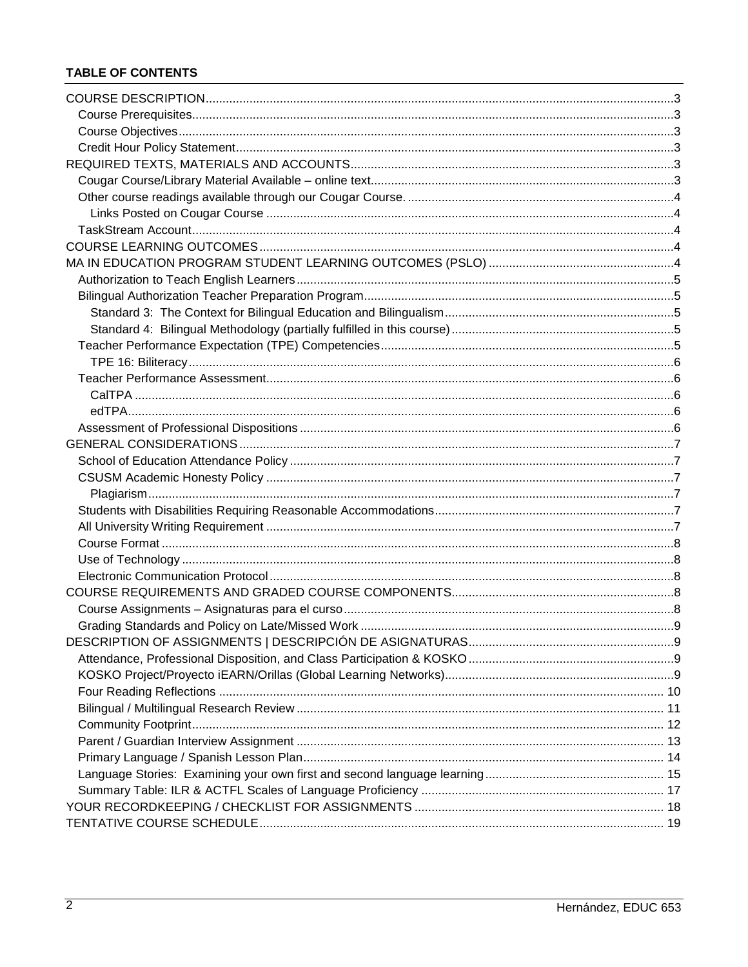## **TABLE OF CONTENTS**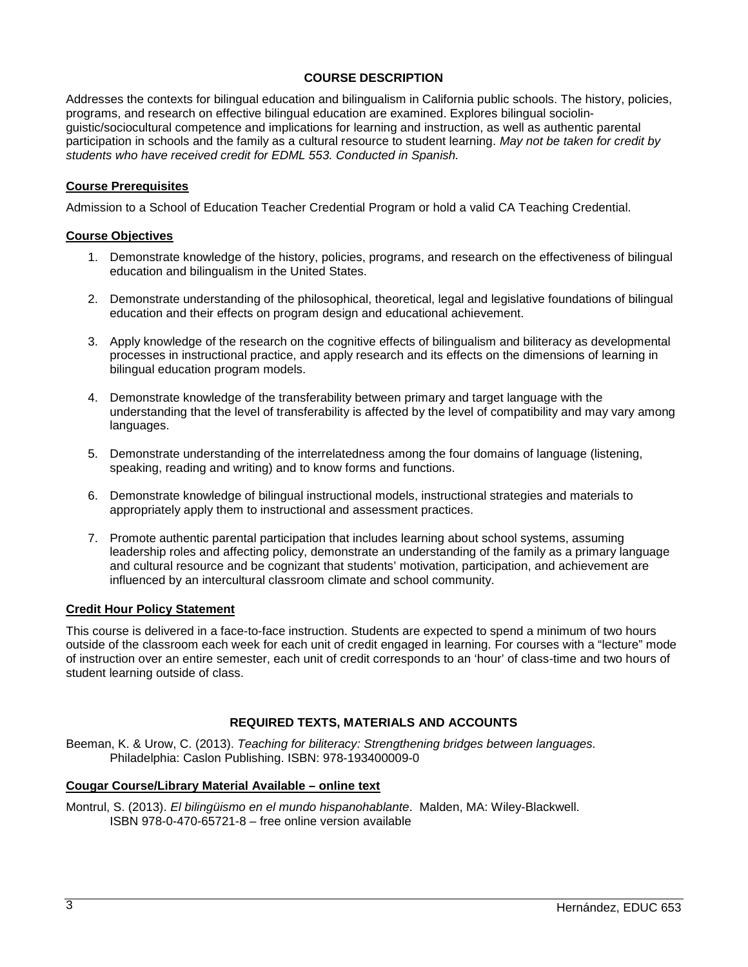### **COURSE DESCRIPTION**

<span id="page-2-0"></span>Addresses the contexts for bilingual education and bilingualism in California public schools. The history, policies, programs, and research on effective bilingual education are examined. Explores bilingual sociolinguistic/sociocultural competence and implications for learning and instruction, as well as authentic parental participation in schools and the family as a cultural resource to student learning. *May not be taken for credit by students who have received credit for EDML 553. Conducted in Spanish.*

### <span id="page-2-1"></span>**Course Prerequisites**

Admission to a School of Education Teacher Credential Program or hold a valid CA Teaching Credential.

### <span id="page-2-2"></span>**Course Objectives**

- 1. Demonstrate knowledge of the history, policies, programs, and research on the effectiveness of bilingual education and bilingualism in the United States.
- 2. Demonstrate understanding of the philosophical, theoretical, legal and legislative foundations of bilingual education and their effects on program design and educational achievement.
- 3. Apply knowledge of the research on the cognitive effects of bilingualism and biliteracy as developmental processes in instructional practice, and apply research and its effects on the dimensions of learning in bilingual education program models.
- 4. Demonstrate knowledge of the transferability between primary and target language with the understanding that the level of transferability is affected by the level of compatibility and may vary among languages.
- 5. Demonstrate understanding of the interrelatedness among the four domains of language (listening, speaking, reading and writing) and to know forms and functions.
- 6. Demonstrate knowledge of bilingual instructional models, instructional strategies and materials to appropriately apply them to instructional and assessment practices.
- 7. Promote authentic parental participation that includes learning about school systems, assuming leadership roles and affecting policy, demonstrate an understanding of the family as a primary language and cultural resource and be cognizant that students' motivation, participation, and achievement are influenced by an intercultural classroom climate and school community.

### <span id="page-2-3"></span>**Credit Hour Policy Statement**

This course is delivered in a face-to-face instruction. Students are expected to spend a minimum of two hours outside of the classroom each week for each unit of credit engaged in learning. For courses with a "lecture" mode of instruction over an entire semester, each unit of credit corresponds to an 'hour' of class-time and two hours of student learning outside of class.

### **REQUIRED TEXTS, MATERIALS AND ACCOUNTS**

<span id="page-2-4"></span>Beeman, K. & Urow, C. (2013). *Teaching for biliteracy: Strengthening bridges between languages.* Philadelphia: Caslon Publishing. ISBN: 978-193400009-0

### <span id="page-2-5"></span>**Cougar Course/Library Material Available – online text**

Montrul, S. (2013). *El bilingüismo en el mundo hispanohablante*. Malden, MA: Wiley-Blackwell. ISBN 978-0-470-65721-8 – free online version available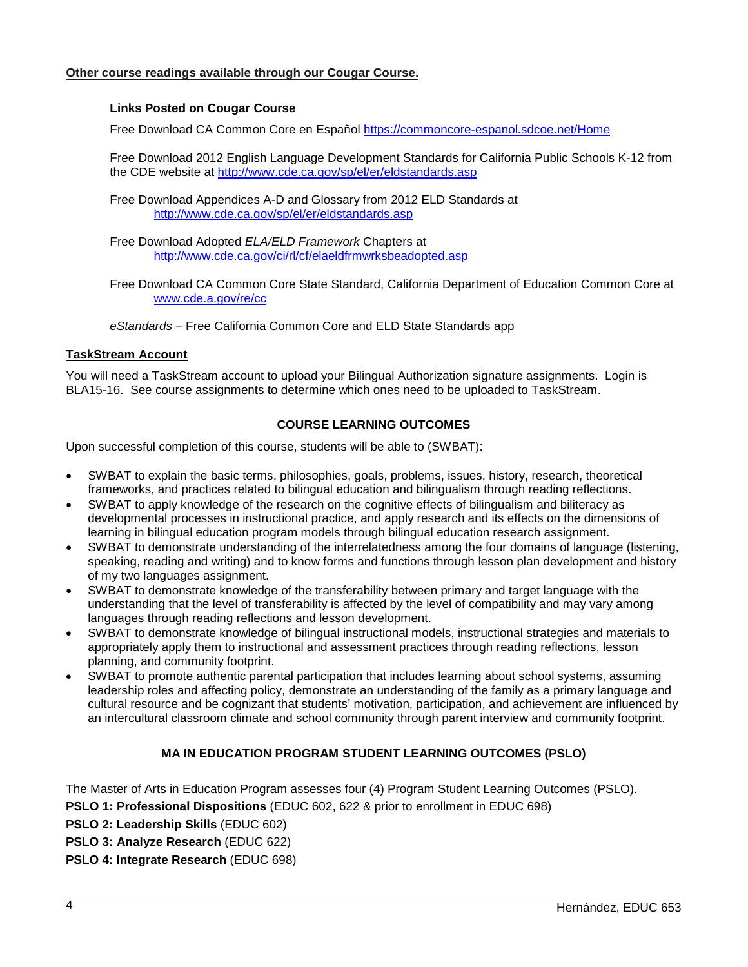### <span id="page-3-1"></span><span id="page-3-0"></span>**Other course readings available through our Cougar Course.**

### **Links Posted on Cougar Course**

Free Download CA Common Core en Español<https://commoncore-espanol.sdcoe.net/Home>

Free Download 2012 English Language Development Standards for California Public Schools K-12 from the CDE website at<http://www.cde.ca.gov/sp/el/er/eldstandards.asp>

Free Download Appendices A-D and Glossary from 2012 ELD Standards at <http://www.cde.ca.gov/sp/el/er/eldstandards.asp>

Free Download Adopted *ELA/ELD Framework* Chapters at <http://www.cde.ca.gov/ci/rl/cf/elaeldfrmwrksbeadopted.asp>

Free Download CA Common Core State Standard, California Department of Education Common Core at [www.cde.a.gov/re/cc](http://www.cde.a.gov/re/cc)

*eStandards* – Free California Common Core and ELD State Standards app

### <span id="page-3-2"></span>**TaskStream Account**

You will need a TaskStream account to upload your Bilingual Authorization signature assignments. Login is BLA15-16. See course assignments to determine which ones need to be uploaded to TaskStream.

### **COURSE LEARNING OUTCOMES**

<span id="page-3-3"></span>Upon successful completion of this course, students will be able to (SWBAT):

- SWBAT to explain the basic terms, philosophies, goals, problems, issues, history, research, theoretical frameworks, and practices related to bilingual education and bilingualism through reading reflections.
- SWBAT to apply knowledge of the research on the cognitive effects of bilingualism and biliteracy as developmental processes in instructional practice, and apply research and its effects on the dimensions of learning in bilingual education program models through bilingual education research assignment.
- SWBAT to demonstrate understanding of the interrelatedness among the four domains of language (listening, speaking, reading and writing) and to know forms and functions through lesson plan development and history of my two languages assignment.
- SWBAT to demonstrate knowledge of the transferability between primary and target language with the understanding that the level of transferability is affected by the level of compatibility and may vary among languages through reading reflections and lesson development.
- SWBAT to demonstrate knowledge of bilingual instructional models, instructional strategies and materials to appropriately apply them to instructional and assessment practices through reading reflections, lesson planning, and community footprint.
- SWBAT to promote authentic parental participation that includes learning about school systems, assuming leadership roles and affecting policy, demonstrate an understanding of the family as a primary language and cultural resource and be cognizant that students' motivation, participation, and achievement are influenced by an intercultural classroom climate and school community through parent interview and community footprint.

### **MA IN EDUCATION PROGRAM STUDENT LEARNING OUTCOMES (PSLO)**

<span id="page-3-4"></span>The Master of Arts in Education Program assesses four (4) Program Student Learning Outcomes (PSLO).

**PSLO 1: Professional Dispositions** (EDUC 602, 622 & prior to enrollment in EDUC 698)

**PSLO 2: Leadership Skills** (EDUC 602)

**PSLO 3: Analyze Research** (EDUC 622)

**PSLO 4: Integrate Research** (EDUC 698)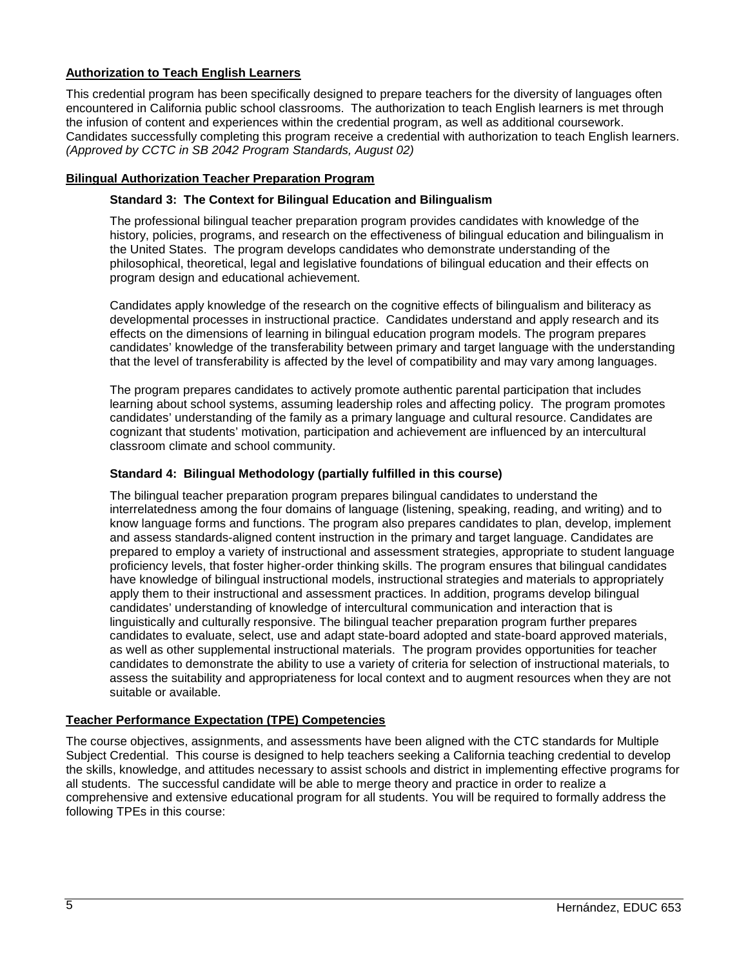### <span id="page-4-0"></span>**Authorization to Teach English Learners**

This credential program has been specifically designed to prepare teachers for the diversity of languages often encountered in California public school classrooms. The authorization to teach English learners is met through the infusion of content and experiences within the credential program, as well as additional coursework. Candidates successfully completing this program receive a credential with authorization to teach English learners. *(Approved by CCTC in SB 2042 Program Standards, August 02)*

### <span id="page-4-2"></span><span id="page-4-1"></span>**Bilingual Authorization Teacher Preparation Program**

#### **Standard 3: The Context for Bilingual Education and Bilingualism**

The professional bilingual teacher preparation program provides candidates with knowledge of the history, policies, programs, and research on the effectiveness of bilingual education and bilingualism in the United States. The program develops candidates who demonstrate understanding of the philosophical, theoretical, legal and legislative foundations of bilingual education and their effects on program design and educational achievement.

Candidates apply knowledge of the research on the cognitive effects of bilingualism and biliteracy as developmental processes in instructional practice. Candidates understand and apply research and its effects on the dimensions of learning in bilingual education program models. The program prepares candidates' knowledge of the transferability between primary and target language with the understanding that the level of transferability is affected by the level of compatibility and may vary among languages.

The program prepares candidates to actively promote authentic parental participation that includes learning about school systems, assuming leadership roles and affecting policy. The program promotes candidates' understanding of the family as a primary language and cultural resource. Candidates are cognizant that students' motivation, participation and achievement are influenced by an intercultural classroom climate and school community.

### <span id="page-4-3"></span>**Standard 4: Bilingual Methodology (partially fulfilled in this course)**

The bilingual teacher preparation program prepares bilingual candidates to understand the interrelatedness among the four domains of language (listening, speaking, reading, and writing) and to know language forms and functions. The program also prepares candidates to plan, develop, implement and assess standards-aligned content instruction in the primary and target language. Candidates are prepared to employ a variety of instructional and assessment strategies, appropriate to student language proficiency levels, that foster higher-order thinking skills. The program ensures that bilingual candidates have knowledge of bilingual instructional models, instructional strategies and materials to appropriately apply them to their instructional and assessment practices. In addition, programs develop bilingual candidates' understanding of knowledge of intercultural communication and interaction that is linguistically and culturally responsive. The bilingual teacher preparation program further prepares candidates to evaluate, select, use and adapt state-board adopted and state-board approved materials, as well as other supplemental instructional materials. The program provides opportunities for teacher candidates to demonstrate the ability to use a variety of criteria for selection of instructional materials, to assess the suitability and appropriateness for local context and to augment resources when they are not suitable or available.

#### <span id="page-4-4"></span>**Teacher Performance Expectation (TPE) Competencies**

The course objectives, assignments, and assessments have been aligned with the CTC standards for Multiple Subject Credential. This course is designed to help teachers seeking a California teaching credential to develop the skills, knowledge, and attitudes necessary to assist schools and district in implementing effective programs for all students. The successful candidate will be able to merge theory and practice in order to realize a comprehensive and extensive educational program for all students. You will be required to formally address the following TPEs in this course: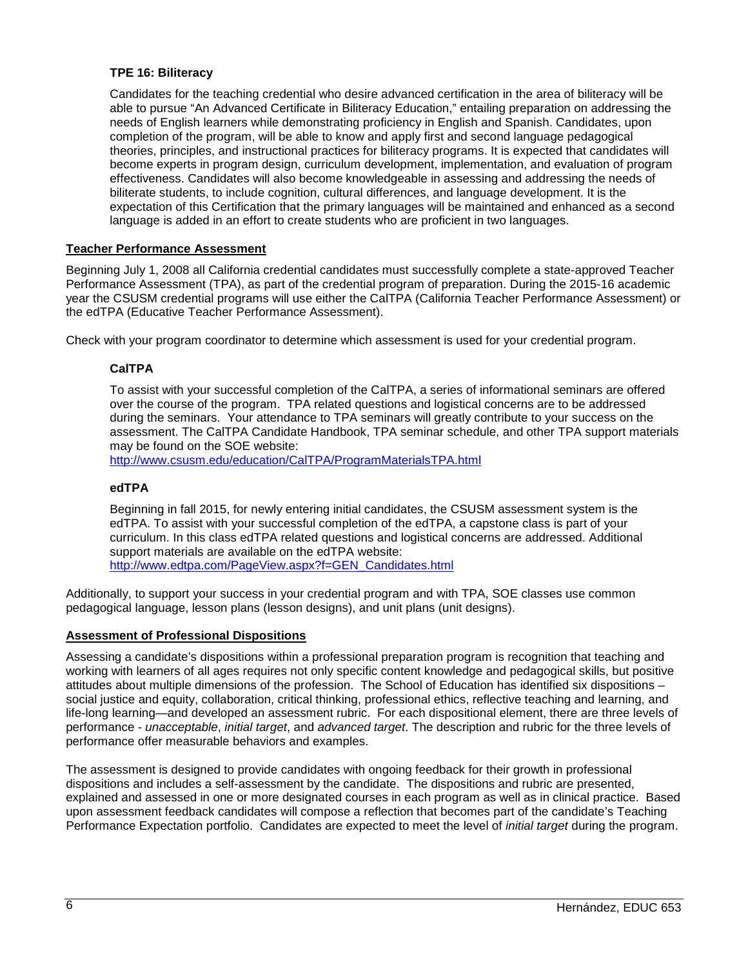### <span id="page-5-0"></span>**TPE 16: Biliteracy**

Candidates for the teaching credential who desire advanced certification in the area of biliteracy will be able to pursue "An Advanced Certificate in Biliteracy Education," entailing preparation on addressing the needs of English learners while demonstrating proficiency in English and Spanish. Candidates, upon completion of the program, will be able to know and apply first and second language pedagogical theories, principles, and instructional practices for biliteracy programs. It is expected that candidates will become experts in program design, curriculum development, implementation, and evaluation of program effectiveness. Candidates will also become knowledgeable in assessing and addressing the needs of biliterate students, to include cognition, cultural differences, and language development. It is the expectation of this Certification that the primary languages will be maintained and enhanced as a second language is added in an effort to create students who are proficient in two languages.

### <span id="page-5-1"></span>**Teacher Performance Assessment**

Beginning July 1, 2008 all California credential candidates must successfully complete a state-approved Teacher Performance Assessment (TPA), as part of the credential program of preparation. During the 2015-16 academic year the CSUSM credential programs will use either the CalTPA (California Teacher Performance Assessment) or the edTPA (Educative Teacher Performance Assessment).

<span id="page-5-2"></span>Check with your program coordinator to determine which assessment is used for your credential program.

### **CalTPA**

To assist with your successful completion of the CalTPA, a series of informational seminars are offered over the course of the program. TPA related questions and logistical concerns are to be addressed during the seminars. Your attendance to TPA seminars will greatly contribute to your success on the assessment. The CalTPA Candidate Handbook, TPA seminar schedule, and other TPA support materials may be found on the SOE website:

<http://www.csusm.edu/education/CalTPA/ProgramMaterialsTPA.html>

### <span id="page-5-3"></span>**edTPA**

Beginning in fall 2015, for newly entering initial candidates, the CSUSM assessment system is the edTPA. To assist with your successful completion of the edTPA, a capstone class is part of your curriculum. In this class edTPA related questions and logistical concerns are addressed. Additional support materials are available on the edTPA website: [http://www.edtpa.com/PageView.aspx?f=GEN\\_Candidates.html](http://www.edtpa.com/PageView.aspx?f=GEN_Candidates.html)

Additionally, to support your success in your credential program and with TPA, SOE classes use common pedagogical language, lesson plans (lesson designs), and unit plans (unit designs).

#### <span id="page-5-4"></span>**Assessment of Professional Dispositions**

Assessing a candidate's dispositions within a professional preparation program is recognition that teaching and working with learners of all ages requires not only specific content knowledge and pedagogical skills, but positive attitudes about multiple dimensions of the profession. The School of Education has identified six dispositions – social justice and equity, collaboration, critical thinking, professional ethics, reflective teaching and learning, and life-long learning—and developed an assessment rubric. For each dispositional element, there are three levels of performance - *unacceptable*, *initial target*, and *advanced target*. The description and rubric for the three levels of performance offer measurable behaviors and examples.

The assessment is designed to provide candidates with ongoing feedback for their growth in professional dispositions and includes a self-assessment by the candidate. The dispositions and rubric are presented, explained and assessed in one or more designated courses in each program as well as in clinical practice. Based upon assessment feedback candidates will compose a reflection that becomes part of the candidate's Teaching Performance Expectation portfolio. Candidates are expected to meet the level of *initial target* during the program.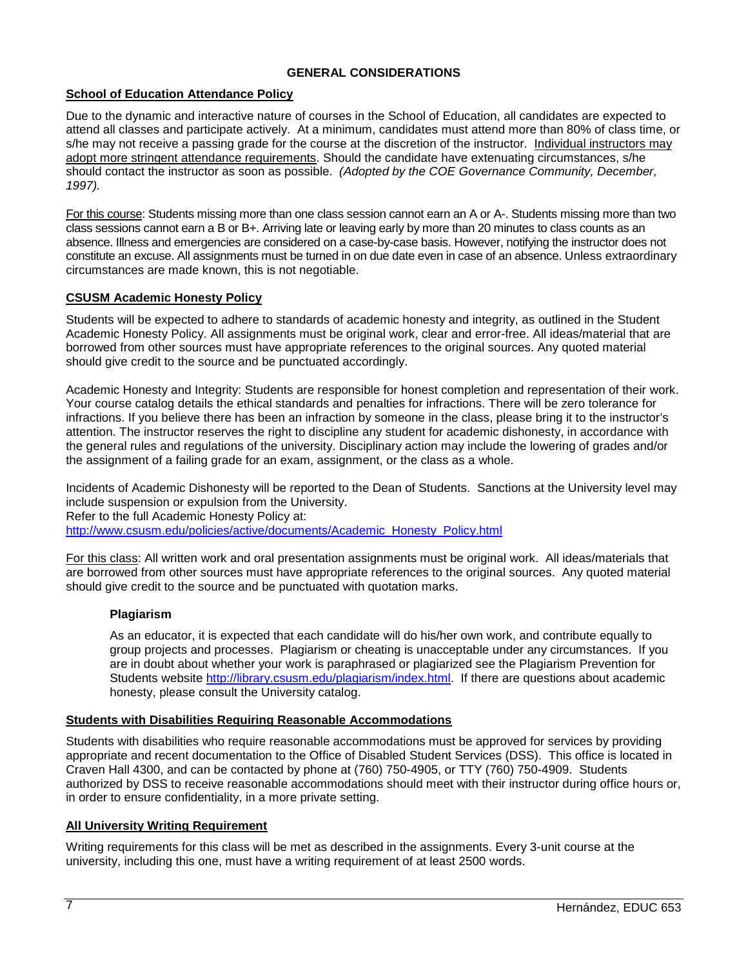### **GENERAL CONSIDERATIONS**

### <span id="page-6-1"></span><span id="page-6-0"></span>**School of Education Attendance Policy**

Due to the dynamic and interactive nature of courses in the School of Education, all candidates are expected to attend all classes and participate actively. At a minimum, candidates must attend more than 80% of class time, or s/he may not receive a passing grade for the course at the discretion of the instructor. Individual instructors may adopt more stringent attendance requirements. Should the candidate have extenuating circumstances, s/he should contact the instructor as soon as possible. *(Adopted by the COE Governance Community, December, 1997).*

For this course: Students missing more than one class session cannot earn an A or A-. Students missing more than two class sessions cannot earn a B or B+. Arriving late or leaving early by more than 20 minutes to class counts as an absence. Illness and emergencies are considered on a case-by-case basis. However, notifying the instructor does not constitute an excuse. All assignments must be turned in on due date even in case of an absence. Unless extraordinary circumstances are made known, this is not negotiable.

### <span id="page-6-2"></span>**CSUSM Academic Honesty Policy**

Students will be expected to adhere to standards of academic honesty and integrity, as outlined in the Student Academic Honesty Policy. All assignments must be original work, clear and error-free. All ideas/material that are borrowed from other sources must have appropriate references to the original sources. Any quoted material should give credit to the source and be punctuated accordingly.

Academic Honesty and Integrity: Students are responsible for honest completion and representation of their work. Your course catalog details the ethical standards and penalties for infractions. There will be zero tolerance for infractions. If you believe there has been an infraction by someone in the class, please bring it to the instructor's attention. The instructor reserves the right to discipline any student for academic dishonesty, in accordance with the general rules and regulations of the university. Disciplinary action may include the lowering of grades and/or the assignment of a failing grade for an exam, assignment, or the class as a whole.

Incidents of Academic Dishonesty will be reported to the Dean of Students. Sanctions at the University level may include suspension or expulsion from the University. Refer to the full Academic Honesty Policy at: [http://www.csusm.edu/policies/active/documents/Academic\\_Honesty\\_Policy.html](http://www.csusm.edu/policies/active/documents/Academic_Honesty_Policy.html)

For this class: All written work and oral presentation assignments must be original work. All ideas/materials that are borrowed from other sources must have appropriate references to the original sources. Any quoted material should give credit to the source and be punctuated with quotation marks.

#### <span id="page-6-3"></span>**Plagiarism**

As an educator, it is expected that each candidate will do his/her own work, and contribute equally to group projects and processes. Plagiarism or cheating is unacceptable under any circumstances. If you are in doubt about whether your work is paraphrased or plagiarized see the Plagiarism Prevention for Students website [http://library.csusm.edu/plagiarism/index.html.](http://library.csusm.edu/plagiarism/index.html) If there are questions about academic honesty, please consult the University catalog.

#### <span id="page-6-4"></span>**Students with Disabilities Requiring Reasonable Accommodations**

Students with disabilities who require reasonable accommodations must be approved for services by providing appropriate and recent documentation to the Office of Disabled Student Services (DSS). This office is located in Craven Hall 4300, and can be contacted by phone at (760) 750-4905, or TTY (760) 750-4909. Students authorized by DSS to receive reasonable accommodations should meet with their instructor during office hours or, in order to ensure confidentiality, in a more private setting.

#### <span id="page-6-5"></span>**All University Writing Requirement**

Writing requirements for this class will be met as described in the assignments. Every 3-unit course at the university, including this one, must have a writing requirement of at least 2500 words.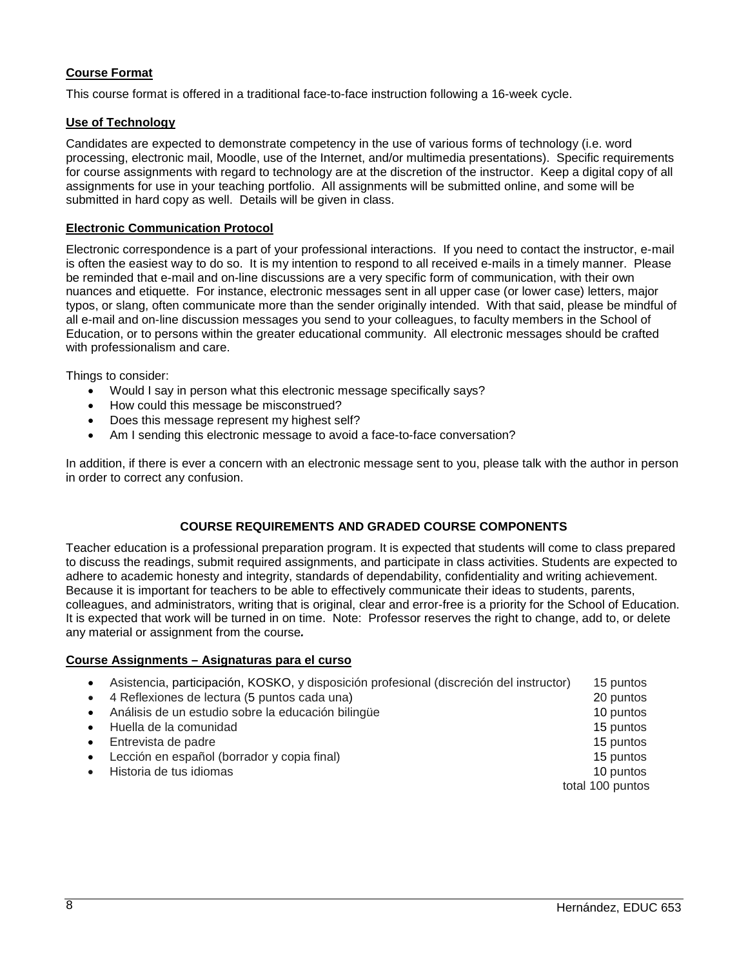## <span id="page-7-0"></span>**Course Format**

This course format is offered in a traditional face-to-face instruction following a 16-week cycle.

### <span id="page-7-1"></span>**Use of Technology**

Candidates are expected to demonstrate competency in the use of various forms of technology (i.e. word processing, electronic mail, Moodle, use of the Internet, and/or multimedia presentations). Specific requirements for course assignments with regard to technology are at the discretion of the instructor. Keep a digital copy of all assignments for use in your teaching portfolio. All assignments will be submitted online, and some will be submitted in hard copy as well. Details will be given in class.

### <span id="page-7-2"></span>**Electronic Communication Protocol**

Electronic correspondence is a part of your professional interactions. If you need to contact the instructor, e-mail is often the easiest way to do so. It is my intention to respond to all received e-mails in a timely manner. Please be reminded that e-mail and on-line discussions are a very specific form of communication, with their own nuances and etiquette. For instance, electronic messages sent in all upper case (or lower case) letters, major typos, or slang, often communicate more than the sender originally intended. With that said, please be mindful of all e-mail and on-line discussion messages you send to your colleagues, to faculty members in the School of Education, or to persons within the greater educational community. All electronic messages should be crafted with professionalism and care.

Things to consider:

- Would I say in person what this electronic message specifically says?
- How could this message be misconstrued?
- Does this message represent my highest self?
- Am I sending this electronic message to avoid a face-to-face conversation?

In addition, if there is ever a concern with an electronic message sent to you, please talk with the author in person in order to correct any confusion.

### **COURSE REQUIREMENTS AND GRADED COURSE COMPONENTS**

<span id="page-7-3"></span>Teacher education is a professional preparation program. It is expected that students will come to class prepared to discuss the readings, submit required assignments, and participate in class activities. Students are expected to adhere to academic honesty and integrity, standards of dependability, confidentiality and writing achievement. Because it is important for teachers to be able to effectively communicate their ideas to students, parents, colleagues, and administrators, writing that is original, clear and error-free is a priority for the School of Education. It is expected that work will be turned in on time. Note: Professor reserves the right to change, add to, or delete any material or assignment from the course*.*

#### <span id="page-7-4"></span>**Course Assignments – Asignaturas para el curso**

| $\bullet$ | Asistencia, participación, KOSKO, y disposición profesional (discreción del instructor) | 15 puntos        |
|-----------|-----------------------------------------------------------------------------------------|------------------|
| $\bullet$ | 4 Reflexiones de lectura (5 puntos cada una)                                            | 20 puntos        |
| $\bullet$ | Análisis de un estudio sobre la educación bilingüe                                      | 10 puntos        |
| $\bullet$ | Huella de la comunidad                                                                  | 15 puntos        |
| $\bullet$ | Entrevista de padre                                                                     | 15 puntos        |
| $\bullet$ | Lección en español (borrador y copia final)                                             | 15 puntos        |
|           | Historia de tus idiomas                                                                 | 10 puntos        |
|           |                                                                                         | total 100 puntos |
|           |                                                                                         |                  |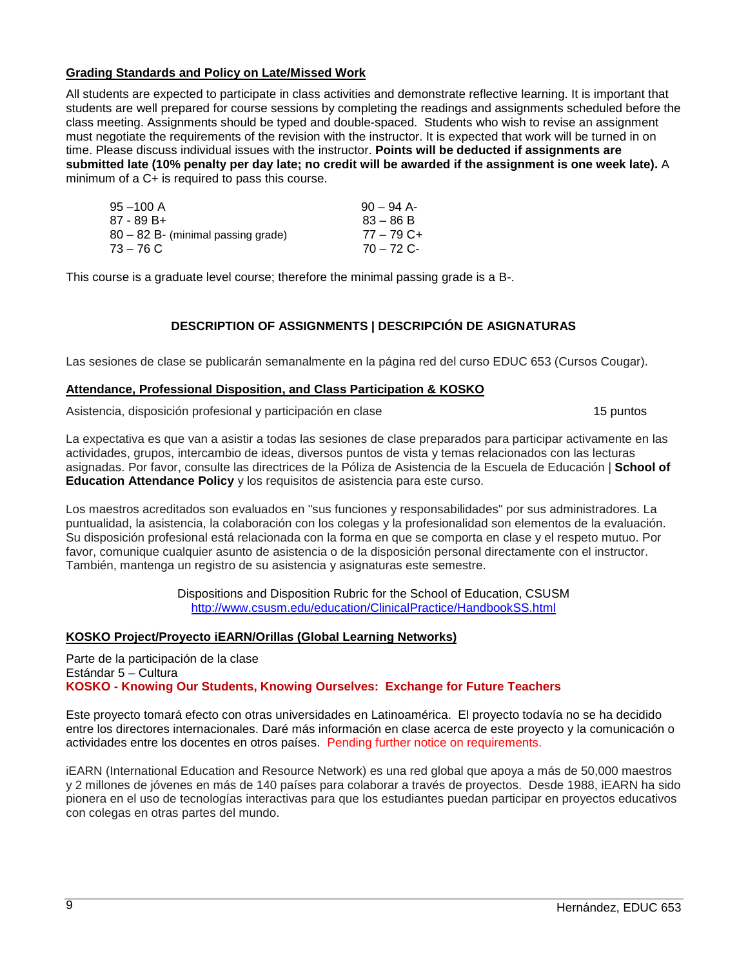### <span id="page-8-0"></span>**Grading Standards and Policy on Late/Missed Work**

All students are expected to participate in class activities and demonstrate reflective learning. It is important that students are well prepared for course sessions by completing the readings and assignments scheduled before the class meeting. Assignments should be typed and double-spaced. Students who wish to revise an assignment must negotiate the requirements of the revision with the instructor. It is expected that work will be turned in on time. Please discuss individual issues with the instructor. **Points will be deducted if assignments are submitted late (10% penalty per day late; no credit will be awarded if the assignment is one week late).** A minimum of a C+ is required to pass this course.

| $90 - 94$ A- |
|--------------|
| $83 - 86 B$  |
| $77 - 79$ C+ |
| $70 - 72$ C- |
|              |

<span id="page-8-1"></span>This course is a graduate level course; therefore the minimal passing grade is a B-.

## **DESCRIPTION OF ASSIGNMENTS | DESCRIPCIÓN DE ASIGNATURAS**

Las sesiones de clase se publicarán semanalmente en la página red del curso EDUC 653 (Cursos Cougar).

### <span id="page-8-2"></span>**Attendance, Professional Disposition, and Class Participation & KOSKO**

Asistencia, disposición profesional y participación en clase 15 puntos 15 puntos

La expectativa es que van a asistir a todas las sesiones de clase preparados para participar activamente en las actividades, grupos, intercambio de ideas, diversos puntos de vista y temas relacionados con las lecturas asignadas. Por favor, consulte las directrices de la Póliza de Asistencia de la Escuela de Educación | **School of Education Attendance Policy** y los requisitos de asistencia para este curso.

Los maestros acreditados son evaluados en "sus funciones y responsabilidades" por sus administradores. La puntualidad, la asistencia, la colaboración con los colegas y la profesionalidad son elementos de la evaluación. Su disposición profesional está relacionada con la forma en que se comporta en clase y el respeto mutuo. Por favor, comunique cualquier asunto de asistencia o de la disposición personal directamente con el instructor. También, mantenga un registro de su asistencia y asignaturas este semestre.

> Dispositions and Disposition Rubric for the School of Education, CSUSM <http://www.csusm.edu/education/ClinicalPractice/HandbookSS.html>

#### <span id="page-8-3"></span>**KOSKO Project/Proyecto iEARN/Orillas (Global Learning Networks)**

Parte de la participación de la clase Estándar 5 – Cultura **KOSKO - Knowing Our Students, Knowing Ourselves: Exchange for Future Teachers**

Este proyecto tomará efecto con otras universidades en Latinoamérica. El proyecto todavía no se ha decidido entre los directores internacionales. Daré más información en clase acerca de este proyecto y la comunicación o actividades entre los docentes en otros países. Pending further notice on requirements.

iEARN (International Education and Resource Network) es una red global que apoya a más de 50,000 maestros y 2 millones de jóvenes en más de 140 países para colaborar a través de proyectos. Desde 1988, iEARN ha sido pionera en el uso de tecnologías interactivas para que los estudiantes puedan participar en proyectos educativos con colegas en otras partes del mundo.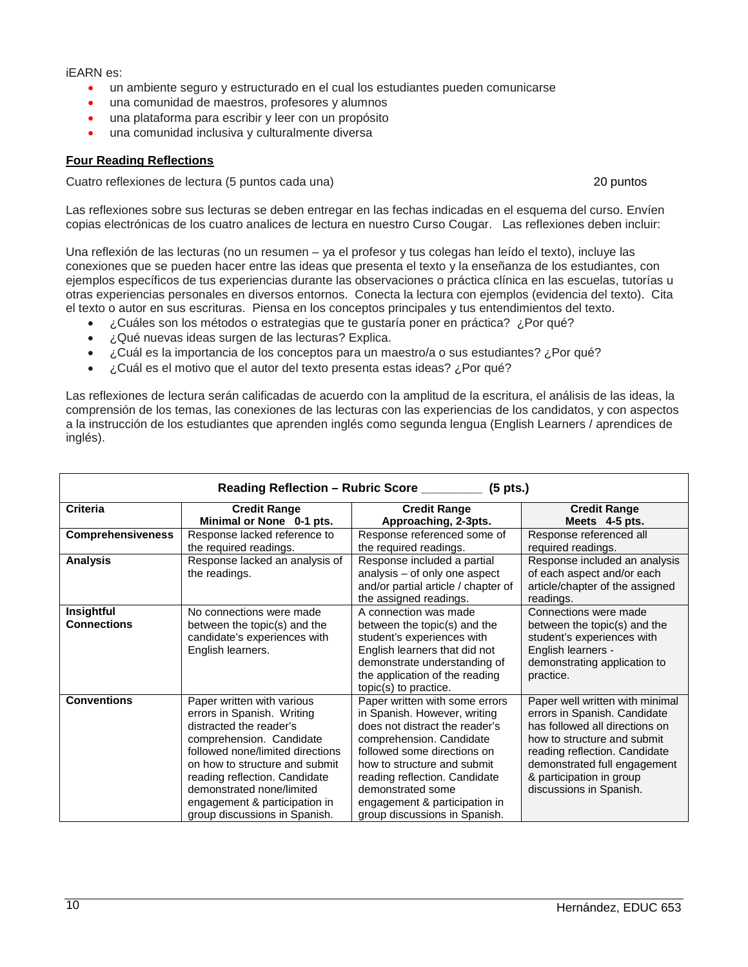#### iEARN es:

- un ambiente seguro y estructurado en el cual los estudiantes pueden comunicarse
- una comunidad de maestros, profesores y alumnos
- una plataforma para escribir y leer con un propósito
- una comunidad inclusiva y culturalmente diversa

### <span id="page-9-0"></span>**Four Reading Reflections**

Cuatro reflexiones de lectura (5 puntos cada una) 20 puntos

Las reflexiones sobre sus lecturas se deben entregar en las fechas indicadas en el esquema del curso. Envíen copias electrónicas de los cuatro analices de lectura en nuestro Curso Cougar. Las reflexiones deben incluir:

Una reflexión de las lecturas (no un resumen – ya el profesor y tus colegas han leído el texto), incluye las conexiones que se pueden hacer entre las ideas que presenta el texto y la enseñanza de los estudiantes, con ejemplos específicos de tus experiencias durante las observaciones o práctica clínica en las escuelas, tutorías u otras experiencias personales en diversos entornos. Conecta la lectura con ejemplos (evidencia del texto). Cita el texto o autor en sus escrituras. Piensa en los conceptos principales y tus entendimientos del texto.

- ¿Cuáles son los métodos o estrategias que te gustaría poner en práctica? ¿Por qué?
- ¿Qué nuevas ideas surgen de las lecturas? Explica.
- ¿Cuál es la importancia de los conceptos para un maestro/a o sus estudiantes? ¿Por qué?
- ¿Cuál es el motivo que el autor del texto presenta estas ideas? ¿Por qué?

Las reflexiones de lectura serán calificadas de acuerdo con la amplitud de la escritura, el análisis de las ideas, la comprensión de los temas, las conexiones de las lecturas con las experiencias de los candidatos, y con aspectos a la instrucción de los estudiantes que aprenden inglés como segunda lengua (English Learners / aprendices de inglés).

| Reading Reflection – Rubric Score ___________ (5 pts.) |                                                                                                                                                                                                                                                                                                                       |                                                                                                                                                                                                                                                                                                                    |                                                                                                                                                                                                                                                          |
|--------------------------------------------------------|-----------------------------------------------------------------------------------------------------------------------------------------------------------------------------------------------------------------------------------------------------------------------------------------------------------------------|--------------------------------------------------------------------------------------------------------------------------------------------------------------------------------------------------------------------------------------------------------------------------------------------------------------------|----------------------------------------------------------------------------------------------------------------------------------------------------------------------------------------------------------------------------------------------------------|
| <b>Criteria</b>                                        | <b>Credit Range</b><br>Minimal or None 0-1 pts.                                                                                                                                                                                                                                                                       | <b>Credit Range</b><br>Approaching, 2-3pts.                                                                                                                                                                                                                                                                        | <b>Credit Range</b><br>Meets 4-5 pts.                                                                                                                                                                                                                    |
| <b>Comprehensiveness</b>                               | Response lacked reference to<br>the required readings.                                                                                                                                                                                                                                                                | Response referenced some of<br>the required readings.                                                                                                                                                                                                                                                              | Response referenced all<br>required readings.                                                                                                                                                                                                            |
| <b>Analysis</b>                                        | Response lacked an analysis of<br>the readings.                                                                                                                                                                                                                                                                       | Response included a partial<br>analysis – of only one aspect<br>and/or partial article / chapter of<br>the assigned readings.                                                                                                                                                                                      | Response included an analysis<br>of each aspect and/or each<br>article/chapter of the assigned<br>readings.                                                                                                                                              |
| Insightful<br><b>Connections</b>                       | No connections were made<br>between the topic(s) and the<br>candidate's experiences with<br>English learners.                                                                                                                                                                                                         | A connection was made<br>between the topic(s) and the<br>student's experiences with<br>English learners that did not<br>demonstrate understanding of<br>the application of the reading<br>topic(s) to practice.                                                                                                    | Connections were made<br>between the topic(s) and the<br>student's experiences with<br>English learners -<br>demonstrating application to<br>practice.                                                                                                   |
| <b>Conventions</b>                                     | Paper written with various<br>errors in Spanish. Writing<br>distracted the reader's<br>comprehension. Candidate<br>followed none/limited directions<br>on how to structure and submit<br>reading reflection. Candidate<br>demonstrated none/limited<br>engagement & participation in<br>group discussions in Spanish. | Paper written with some errors<br>in Spanish. However, writing<br>does not distract the reader's<br>comprehension. Candidate<br>followed some directions on<br>how to structure and submit<br>reading reflection. Candidate<br>demonstrated some<br>engagement & participation in<br>group discussions in Spanish. | Paper well written with minimal<br>errors in Spanish. Candidate<br>has followed all directions on<br>how to structure and submit<br>reading reflection. Candidate<br>demonstrated full engagement<br>& participation in group<br>discussions in Spanish. |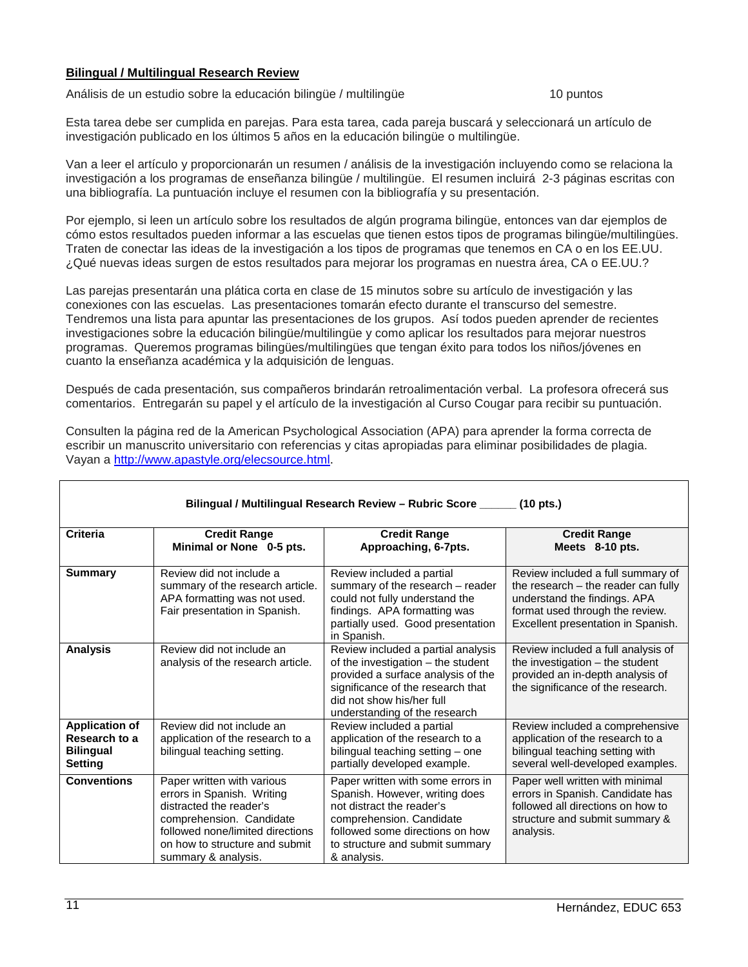### <span id="page-10-0"></span>**Bilingual / Multilingual Research Review**

Análisis de un estudio sobre la educación bilingüe / multilingüe 10 puntos

Esta tarea debe ser cumplida en parejas. Para esta tarea, cada pareja buscará y seleccionará un artículo de investigación publicado en los últimos 5 años en la educación bilingüe o multilingüe.

Van a leer el artículo y proporcionarán un resumen / análisis de la investigación incluyendo como se relaciona la investigación a los programas de enseñanza bilingüe / multilingüe. El resumen incluirá 2-3 páginas escritas con una bibliografía. La puntuación incluye el resumen con la bibliografía y su presentación.

Por ejemplo, si leen un artículo sobre los resultados de algún programa bilingüe, entonces van dar ejemplos de cómo estos resultados pueden informar a las escuelas que tienen estos tipos de programas bilingüe/multilingües. Traten de conectar las ideas de la investigación a los tipos de programas que tenemos en CA o en los EE.UU. ¿Qué nuevas ideas surgen de estos resultados para mejorar los programas en nuestra área, CA o EE.UU.?

Las parejas presentarán una plática corta en clase de 15 minutos sobre su artículo de investigación y las conexiones con las escuelas. Las presentaciones tomarán efecto durante el transcurso del semestre. Tendremos una lista para apuntar las presentaciones de los grupos. Así todos pueden aprender de recientes investigaciones sobre la educación bilingüe/multilingüe y como aplicar los resultados para mejorar nuestros programas. Queremos programas bilingües/multilingües que tengan éxito para todos los niños/jóvenes en cuanto la enseñanza académica y la adquisición de lenguas.

Después de cada presentación, sus compañeros brindarán retroalimentación verbal. La profesora ofrecerá sus comentarios. Entregarán su papel y el artículo de la investigación al Curso Cougar para recibir su puntuación.

| Bilingual / Multilingual Research Review - Rubric Score _____<br>$(10 \text{ pts.})$ |                                                                                                                                                                                                              |                                                                                                                                                                                                                   |                                                                                                                                                                                     |
|--------------------------------------------------------------------------------------|--------------------------------------------------------------------------------------------------------------------------------------------------------------------------------------------------------------|-------------------------------------------------------------------------------------------------------------------------------------------------------------------------------------------------------------------|-------------------------------------------------------------------------------------------------------------------------------------------------------------------------------------|
| <b>Criteria</b>                                                                      | <b>Credit Range</b><br>Minimal or None 0-5 pts.                                                                                                                                                              | <b>Credit Range</b><br>Approaching, 6-7pts.                                                                                                                                                                       | <b>Credit Range</b><br>Meets 8-10 pts.                                                                                                                                              |
| <b>Summary</b>                                                                       | Review did not include a<br>summary of the research article.<br>APA formatting was not used.<br>Fair presentation in Spanish.                                                                                | Review included a partial<br>summary of the research - reader<br>could not fully understand the<br>findings. APA formatting was<br>partially used. Good presentation<br>in Spanish.                               | Review included a full summary of<br>the research $-$ the reader can fully<br>understand the findings. APA<br>format used through the review.<br>Excellent presentation in Spanish. |
| <b>Analysis</b>                                                                      | Review did not include an<br>analysis of the research article.                                                                                                                                               | Review included a partial analysis<br>of the investigation – the student<br>provided a surface analysis of the<br>significance of the research that<br>did not show his/her full<br>understanding of the research | Review included a full analysis of<br>the investigation $-$ the student<br>provided an in-depth analysis of<br>the significance of the research.                                    |
| <b>Application of</b><br>Research to a<br><b>Bilingual</b><br><b>Setting</b>         | Review did not include an<br>application of the research to a<br>bilingual teaching setting.                                                                                                                 | Review included a partial<br>application of the research to a<br>bilingual teaching setting - one<br>partially developed example.                                                                                 | Review included a comprehensive<br>application of the research to a<br>bilingual teaching setting with<br>several well-developed examples.                                          |
| <b>Conventions</b>                                                                   | Paper written with various<br>errors in Spanish. Writing<br>distracted the reader's<br>comprehension. Candidate<br>followed none/limited directions<br>on how to structure and submit<br>summary & analysis. | Paper written with some errors in<br>Spanish. However, writing does<br>not distract the reader's<br>comprehension. Candidate<br>followed some directions on how<br>to structure and submit summary<br>& analysis. | Paper well written with minimal<br>errors in Spanish. Candidate has<br>followed all directions on how to<br>structure and submit summary &<br>analysis.                             |

Consulten la página red de la American Psychological Association (APA) para aprender la forma correcta de escribir un manuscrito universitario con referencias y citas apropiadas para eliminar posibilidades de plagia. Vayan a [http://www.apastyle.org/elecsource.html.](http://www.apastyle.org/elecsource.html)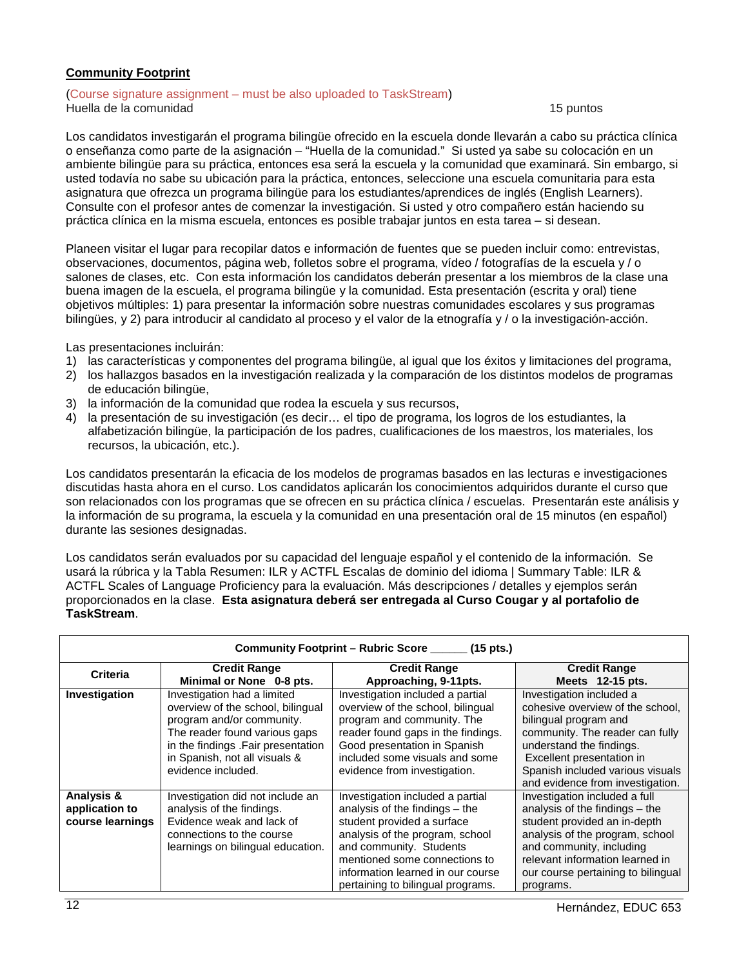### <span id="page-11-0"></span>**Community Footprint**

#### (Course signature assignment – must be also uploaded to TaskStream) Huella de la comunidad 15 puntos

Los candidatos investigarán el programa bilingüe ofrecido en la escuela donde llevarán a cabo su práctica clínica o enseñanza como parte de la asignación – "Huella de la comunidad." Si usted ya sabe su colocación en un ambiente bilingüe para su práctica, entonces esa será la escuela y la comunidad que examinará. Sin embargo, si usted todavía no sabe su ubicación para la práctica, entonces, seleccione una escuela comunitaria para esta asignatura que ofrezca un programa bilingüe para los estudiantes/aprendices de inglés (English Learners). Consulte con el profesor antes de comenzar la investigación. Si usted y otro compañero están haciendo su práctica clínica en la misma escuela, entonces es posible trabajar juntos en esta tarea – si desean.

Planeen visitar el lugar para recopilar datos e información de fuentes que se pueden incluir como: entrevistas, observaciones, documentos, página web, folletos sobre el programa, vídeo / fotografías de la escuela y / o salones de clases, etc. Con esta información los candidatos deberán presentar a los miembros de la clase una buena imagen de la escuela, el programa bilingüe y la comunidad. Esta presentación (escrita y oral) tiene objetivos múltiples: 1) para presentar la información sobre nuestras comunidades escolares y sus programas bilingües, y 2) para introducir al candidato al proceso y el valor de la etnografía y / o la investigación-acción.

Las presentaciones incluirán:

- 1) las características y componentes del programa bilingüe, al igual que los éxitos y limitaciones del programa,
- 2) los hallazgos basados en la investigación realizada y la comparación de los distintos modelos de programas de educación bilingüe,
- 3) la información de la comunidad que rodea la escuela y sus recursos,
- 4) la presentación de su investigación (es decir… el tipo de programa, los logros de los estudiantes, la alfabetización bilingüe, la participación de los padres, cualificaciones de los maestros, los materiales, los recursos, la ubicación, etc.).

Los candidatos presentarán la eficacia de los modelos de programas basados en las lecturas e investigaciones discutidas hasta ahora en el curso. Los candidatos aplicarán los conocimientos adquiridos durante el curso que son relacionados con los programas que se ofrecen en su práctica clínica / escuelas. Presentarán este análisis y la información de su programa, la escuela y la comunidad en una presentación oral de 15 minutos (en español) durante las sesiones designadas.

Los candidatos serán evaluados por su capacidad del lenguaje español y el contenido de la información. Se usará la rúbrica y la Tabla Resumen: ILR y ACTFL Escalas de dominio del idioma | Summary Table: ILR & ACTFL Scales of Language Proficiency para la evaluación. Más descripciones / detalles y ejemplos serán proporcionados en la clase. **Esta asignatura deberá ser entregada al Curso Cougar y al portafolio de TaskStream**.

| Community Footprint - Rubric Score ______ (15 pts.) |                                                                                                                                                                                                                             |                                                                                                                                                                                                                                                                             |                                                                                                                                                                                                                                                           |
|-----------------------------------------------------|-----------------------------------------------------------------------------------------------------------------------------------------------------------------------------------------------------------------------------|-----------------------------------------------------------------------------------------------------------------------------------------------------------------------------------------------------------------------------------------------------------------------------|-----------------------------------------------------------------------------------------------------------------------------------------------------------------------------------------------------------------------------------------------------------|
| <b>Criteria</b>                                     | <b>Credit Range</b><br>Minimal or None 0-8 pts.                                                                                                                                                                             | <b>Credit Range</b><br>Approaching, 9-11pts.                                                                                                                                                                                                                                | <b>Credit Range</b><br>Meets $12-15$ pts.                                                                                                                                                                                                                 |
| Investigation                                       | Investigation had a limited<br>overview of the school, bilingual<br>program and/or community.<br>The reader found various gaps<br>in the findings .Fair presentation<br>in Spanish, not all visuals &<br>evidence included. | Investigation included a partial<br>overview of the school, bilingual<br>program and community. The<br>reader found gaps in the findings.<br>Good presentation in Spanish<br>included some visuals and some<br>evidence from investigation.                                 | Investigation included a<br>cohesive overview of the school,<br>bilingual program and<br>community. The reader can fully<br>understand the findings.<br>Excellent presentation in<br>Spanish included various visuals<br>and evidence from investigation. |
| Analysis &<br>application to<br>course learnings    | Investigation did not include an<br>analysis of the findings.<br>Evidence weak and lack of<br>connections to the course<br>learnings on bilingual education.                                                                | Investigation included a partial<br>analysis of the findings $-$ the<br>student provided a surface<br>analysis of the program, school<br>and community. Students<br>mentioned some connections to<br>information learned in our course<br>pertaining to bilingual programs. | Investigation included a full<br>analysis of the findings $-$ the<br>student provided an in-depth<br>analysis of the program, school<br>and community, including<br>relevant information learned in<br>our course pertaining to bilingual<br>programs.    |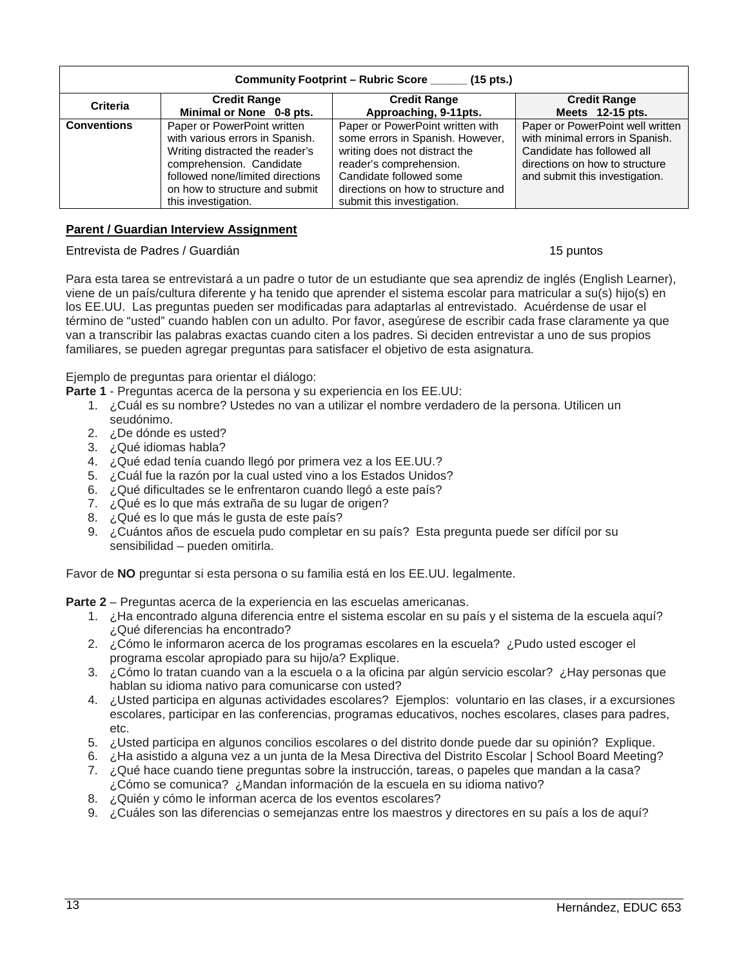| Community Footprint - Rubric Score ______ (15 pts.) |                                                                                                                                                                                                                            |                                                                                                                                                                                                                                 |                                                                                                                                                                       |
|-----------------------------------------------------|----------------------------------------------------------------------------------------------------------------------------------------------------------------------------------------------------------------------------|---------------------------------------------------------------------------------------------------------------------------------------------------------------------------------------------------------------------------------|-----------------------------------------------------------------------------------------------------------------------------------------------------------------------|
| <b>Criteria</b>                                     | <b>Credit Range</b><br>Minimal or None 0-8 pts.                                                                                                                                                                            | <b>Credit Range</b><br>Approaching, 9-11pts.                                                                                                                                                                                    | <b>Credit Range</b><br>Meets 12-15 pts.                                                                                                                               |
| <b>Conventions</b>                                  | Paper or PowerPoint written<br>with various errors in Spanish.<br>Writing distracted the reader's<br>comprehension. Candidate<br>followed none/limited directions<br>on how to structure and submit<br>this investigation. | Paper or PowerPoint written with<br>some errors in Spanish. However,<br>writing does not distract the<br>reader's comprehension.<br>Candidate followed some<br>directions on how to structure and<br>submit this investigation. | Paper or PowerPoint well written<br>with minimal errors in Spanish.<br>Candidate has followed all<br>directions on how to structure<br>and submit this investigation. |

### <span id="page-12-0"></span>**Parent / Guardian Interview Assignment**

#### Entrevista de Padres / Guardián 15 puntos

Para esta tarea se entrevistará a un padre o tutor de un estudiante que sea aprendiz de inglés (English Learner), viene de un país/cultura diferente y ha tenido que aprender el sistema escolar para matricular a su(s) hijo(s) en los EE.UU. Las preguntas pueden ser modificadas para adaptarlas al entrevistado. Acuérdense de usar el término de "usted" cuando hablen con un adulto. Por favor, asegúrese de escribir cada frase claramente ya que van a transcribir las palabras exactas cuando citen a los padres. Si deciden entrevistar a uno de sus propios familiares, se pueden agregar preguntas para satisfacer el objetivo de esta asignatura.

Ejemplo de preguntas para orientar el diálogo:

**Parte 1** - Preguntas acerca de la persona y su experiencia en los EE.UU:

- 1. ¿Cuál es su nombre? Ustedes no van a utilizar el nombre verdadero de la persona. Utilicen un seudónimo.
- 2. ¿De dónde es usted?
- 3. ¿Qué idiomas habla?
- 4. ¿Qué edad tenía cuando llegó por primera vez a los EE.UU.?
- 5. ¿Cuál fue la razón por la cual usted vino a los Estados Unidos?
- 6. ¿Qué dificultades se le enfrentaron cuando llegó a este país?
- 7. ¿Qué es lo que más extraña de su lugar de origen?
- 8. ¿Qué es lo que más le gusta de este país?
- 9. ¿Cuántos años de escuela pudo completar en su país? Esta pregunta puede ser difícil por su sensibilidad – pueden omitirla.

Favor de **NO** preguntar si esta persona o su familia está en los EE.UU. legalmente.

**Parte 2** – Preguntas acerca de la experiencia en las escuelas americanas.

- 1. ¿Ha encontrado alguna diferencia entre el sistema escolar en su país y el sistema de la escuela aquí? ¿Qué diferencias ha encontrado?
- 2. ¿Cómo le informaron acerca de los programas escolares en la escuela? ¿Pudo usted escoger el programa escolar apropiado para su hijo/a? Explique.
- 3. ¿Cómo lo tratan cuando van a la escuela o a la oficina par algún servicio escolar? ¿Hay personas que hablan su idioma nativo para comunicarse con usted?
- 4. ¿Usted participa en algunas actividades escolares? Ejemplos: voluntario en las clases, ir a excursiones escolares, participar en las conferencias, programas educativos, noches escolares, clases para padres, etc.
- 5. ¿Usted participa en algunos concilios escolares o del distrito donde puede dar su opinión? Explique.
- 6. ¿Ha asistido a alguna vez a un junta de la Mesa Directiva del Distrito Escolar | School Board Meeting?
- 7. ¿Qué hace cuando tiene preguntas sobre la instrucción, tareas, o papeles que mandan a la casa? ¿Cómo se comunica? ¿Mandan información de la escuela en su idioma nativo?
- 8. ¿Quién y cómo le informan acerca de los eventos escolares?
- 9. ¿Cuáles son las diferencias o semejanzas entre los maestros y directores en su país a los de aquí?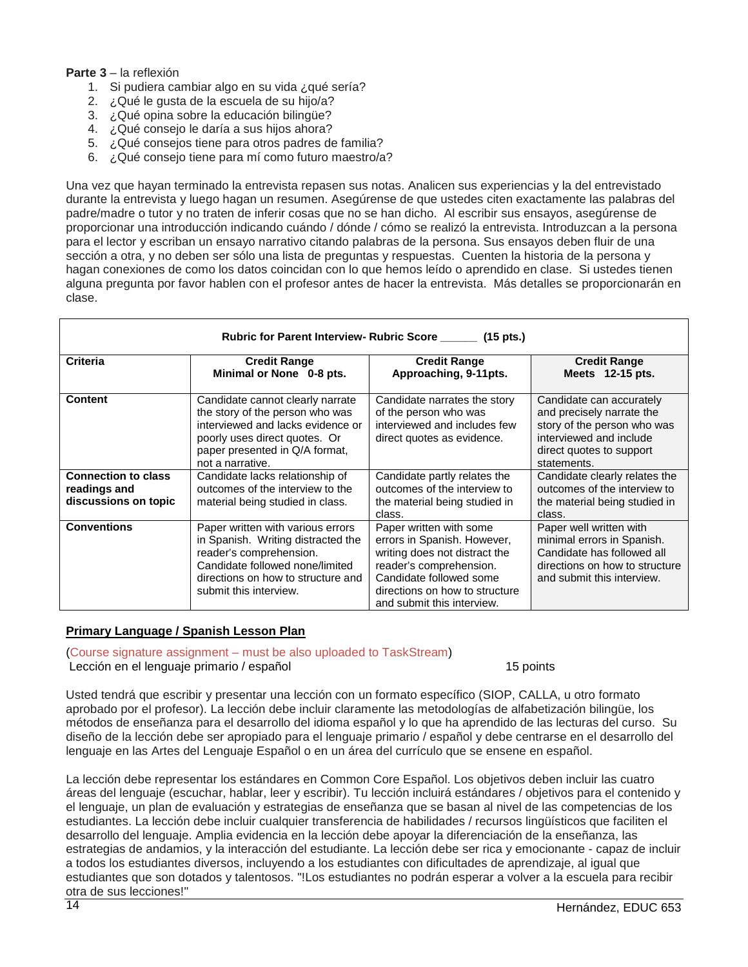### **Parte 3** – la reflexión

- 1. Si pudiera cambiar algo en su vida ¿qué sería?
- 2. ¿Qué le gusta de la escuela de su hijo/a?
- 3. ¿Qué opina sobre la educación bilingüe?
- 4. ¿Qué consejo le daría a sus hijos ahora?
- 5. ¿Qué consejos tiene para otros padres de familia?
- 6. ¿Qué consejo tiene para mí como futuro maestro/a?

Una vez que hayan terminado la entrevista repasen sus notas. Analicen sus experiencias y la del entrevistado durante la entrevista y luego hagan un resumen. Asegúrense de que ustedes citen exactamente las palabras del padre/madre o tutor y no traten de inferir cosas que no se han dicho. Al escribir sus ensayos, asegúrense de proporcionar una introducción indicando cuándo / dónde / cómo se realizó la entrevista. Introduzcan a la persona para el lector y escriban un ensayo narrativo citando palabras de la persona. Sus ensayos deben fluir de una sección a otra, y no deben ser sólo una lista de preguntas y respuestas. Cuenten la historia de la persona y hagan conexiones de como los datos coincidan con lo que hemos leído o aprendido en clase. Si ustedes tienen alguna pregunta por favor hablen con el profesor antes de hacer la entrevista. Más detalles se proporcionarán en clase.

| Rubric for Parent Interview- Rubric Score _______ (15 pts.)        |                                                                                                                                                                                                       |                                                                                                                                                                                                               |                                                                                                                                                            |
|--------------------------------------------------------------------|-------------------------------------------------------------------------------------------------------------------------------------------------------------------------------------------------------|---------------------------------------------------------------------------------------------------------------------------------------------------------------------------------------------------------------|------------------------------------------------------------------------------------------------------------------------------------------------------------|
| Criteria                                                           | <b>Credit Range</b><br>Minimal or None 0-8 pts.                                                                                                                                                       | <b>Credit Range</b><br>Approaching, 9-11pts.                                                                                                                                                                  | <b>Credit Range</b><br>Meets 12-15 pts.                                                                                                                    |
| <b>Content</b>                                                     | Candidate cannot clearly narrate<br>the story of the person who was<br>interviewed and lacks evidence or<br>poorly uses direct quotes. Or<br>paper presented in Q/A format,<br>not a narrative.       | Candidate narrates the story<br>of the person who was<br>interviewed and includes few<br>direct quotes as evidence.                                                                                           | Candidate can accurately<br>and precisely narrate the<br>story of the person who was<br>interviewed and include<br>direct quotes to support<br>statements. |
| <b>Connection to class</b><br>readings and<br>discussions on topic | Candidate lacks relationship of<br>outcomes of the interview to the<br>material being studied in class.                                                                                               | Candidate partly relates the<br>outcomes of the interview to<br>the material being studied in<br>class.                                                                                                       | Candidate clearly relates the<br>outcomes of the interview to<br>the material being studied in<br>class.                                                   |
| <b>Conventions</b>                                                 | Paper written with various errors<br>in Spanish. Writing distracted the<br>reader's comprehension.<br>Candidate followed none/limited<br>directions on how to structure and<br>submit this interview. | Paper written with some<br>errors in Spanish. However,<br>writing does not distract the<br>reader's comprehension.<br>Candidate followed some<br>directions on how to structure<br>and submit this interview. | Paper well written with<br>minimal errors in Spanish.<br>Candidate has followed all<br>directions on how to structure<br>and submit this interview.        |

#### <span id="page-13-0"></span>**Primary Language / Spanish Lesson Plan**

(Course signature assignment – must be also uploaded to TaskStream)

Lección en el lenguaje primario / español 15 points 15 points

Usted tendrá que escribir y presentar una lección con un formato específico (SIOP, CALLA, u otro formato aprobado por el profesor). La lección debe incluir claramente las metodologías de alfabetización bilingüe, los métodos de enseñanza para el desarrollo del idioma español y lo que ha aprendido de las lecturas del curso. Su diseño de la lección debe ser apropiado para el lenguaje primario / español y debe centrarse en el desarrollo del lenguaje en las Artes del Lenguaje Español o en un área del currículo que se ensene en español.

La lección debe representar los estándares en Common Core Español. Los objetivos deben incluir las cuatro áreas del lenguaje (escuchar, hablar, leer y escribir). Tu lección incluirá estándares / objetivos para el contenido y el lenguaje, un plan de evaluación y estrategias de enseñanza que se basan al nivel de las competencias de los estudiantes. La lección debe incluir cualquier transferencia de habilidades / recursos lingüísticos que faciliten el desarrollo del lenguaje. Amplia evidencia en la lección debe apoyar la diferenciación de la enseñanza, las estrategias de andamios, y la interacción del estudiante. La lección debe ser rica y emocionante - capaz de incluir a todos los estudiantes diversos, incluyendo a los estudiantes con dificultades de aprendizaje, al igual que estudiantes que son dotados y talentosos. "!Los estudiantes no podrán esperar a volver a la escuela para recibir otra de sus lecciones!"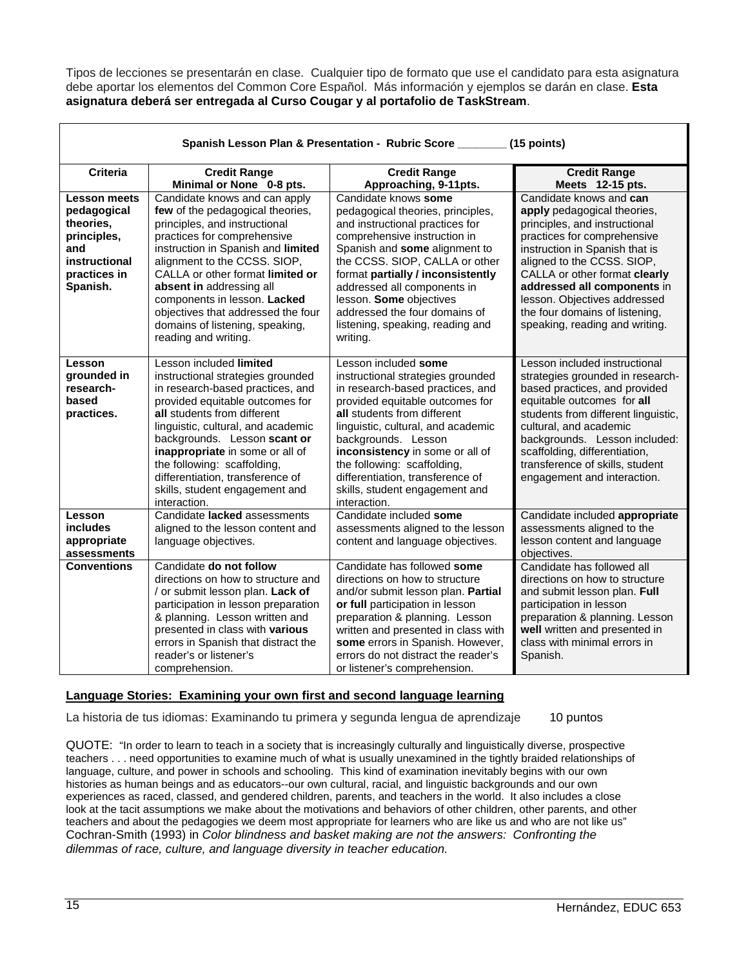Tipos de lecciones se presentarán en clase. Cualquier tipo de formato que use el candidato para esta asignatura debe aportar los elementos del Common Core Español. Más información y ejemplos se darán en clase. **Esta asignatura deberá ser entregada al Curso Cougar y al portafolio de TaskStream**.

| Spanish Lesson Plan & Presentation - Rubric Score<br>$(15$ points)                                                 |                                                                                                                                                                                                                                                                                                                                                                                                          |                                                                                                                                                                                                                                                                                                                                                                                      |                                                                                                                                                                                                                                                                                                                                                            |
|--------------------------------------------------------------------------------------------------------------------|----------------------------------------------------------------------------------------------------------------------------------------------------------------------------------------------------------------------------------------------------------------------------------------------------------------------------------------------------------------------------------------------------------|--------------------------------------------------------------------------------------------------------------------------------------------------------------------------------------------------------------------------------------------------------------------------------------------------------------------------------------------------------------------------------------|------------------------------------------------------------------------------------------------------------------------------------------------------------------------------------------------------------------------------------------------------------------------------------------------------------------------------------------------------------|
| <b>Criteria</b>                                                                                                    | <b>Credit Range</b><br>Minimal or None 0-8 pts.                                                                                                                                                                                                                                                                                                                                                          | <b>Credit Range</b><br>Approaching, 9-11pts.                                                                                                                                                                                                                                                                                                                                         | <b>Credit Range</b><br>Meets 12-15 pts.                                                                                                                                                                                                                                                                                                                    |
| <b>Lesson meets</b><br>pedagogical<br>theories,<br>principles,<br>and<br>instructional<br>practices in<br>Spanish. | Candidate knows and can apply<br>few of the pedagogical theories,<br>principles, and instructional<br>practices for comprehensive<br>instruction in Spanish and limited<br>alignment to the CCSS. SIOP,<br>CALLA or other format limited or<br>absent in addressing all<br>components in lesson. Lacked<br>objectives that addressed the four<br>domains of listening, speaking,<br>reading and writing. | Candidate knows some<br>pedagogical theories, principles,<br>and instructional practices for<br>comprehensive instruction in<br>Spanish and some alignment to<br>the CCSS. SIOP, CALLA or other<br>format partially / inconsistently<br>addressed all components in<br>lesson. Some objectives<br>addressed the four domains of<br>listening, speaking, reading and<br>writing.      | Candidate knows and can<br>apply pedagogical theories,<br>principles, and instructional<br>practices for comprehensive<br>instruction in Spanish that is<br>aligned to the CCSS. SIOP,<br>CALLA or other format clearly<br>addressed all components in<br>lesson. Objectives addressed<br>the four domains of listening,<br>speaking, reading and writing. |
| Lesson<br>grounded in<br>research-<br>based<br>practices.                                                          | Lesson included limited<br>instructional strategies grounded<br>in research-based practices, and<br>provided equitable outcomes for<br>all students from different<br>linguistic, cultural, and academic<br>backgrounds. Lesson scant or<br>inappropriate in some or all of<br>the following: scaffolding,<br>differentiation, transference of<br>skills, student engagement and<br>interaction.         | Lesson included some<br>instructional strategies grounded<br>in research-based practices, and<br>provided equitable outcomes for<br>all students from different<br>linguistic, cultural, and academic<br>backgrounds. Lesson<br>inconsistency in some or all of<br>the following: scaffolding,<br>differentiation, transference of<br>skills, student engagement and<br>interaction. | Lesson included instructional<br>strategies grounded in research-<br>based practices, and provided<br>equitable outcomes for all<br>students from different linguistic,<br>cultural, and academic<br>backgrounds. Lesson included:<br>scaffolding, differentiation,<br>transference of skills, student<br>engagement and interaction.                      |
| Lesson<br>includes<br>appropriate<br>assessments                                                                   | Candidate lacked assessments<br>aligned to the lesson content and<br>language objectives.                                                                                                                                                                                                                                                                                                                | Candidate included some<br>assessments aligned to the lesson<br>content and language objectives.                                                                                                                                                                                                                                                                                     | Candidate included appropriate<br>assessments aligned to the<br>lesson content and language<br>objectives.                                                                                                                                                                                                                                                 |
| <b>Conventions</b>                                                                                                 | Candidate do not follow<br>directions on how to structure and<br>/ or submit lesson plan. Lack of<br>participation in lesson preparation<br>& planning. Lesson written and<br>presented in class with various<br>errors in Spanish that distract the<br>reader's or listener's<br>comprehension.                                                                                                         | Candidate has followed some<br>directions on how to structure<br>and/or submit lesson plan. Partial<br>or full participation in lesson<br>preparation & planning. Lesson<br>written and presented in class with<br>some errors in Spanish. However,<br>errors do not distract the reader's<br>or listener's comprehension.                                                           | Candidate has followed all<br>directions on how to structure<br>and submit lesson plan. Full<br>participation in lesson<br>preparation & planning. Lesson<br>well written and presented in<br>class with minimal errors in<br>Spanish.                                                                                                                     |

### <span id="page-14-0"></span>**Language Stories: Examining your own first and second language learning**

La historia de tus idiomas: Examinando tu primera y segunda lengua de aprendizaje 10 puntos

QUOTE: "In order to learn to teach in a society that is increasingly culturally and linguistically diverse, prospective teachers . . . need opportunities to examine much of what is usually unexamined in the tightly braided relationships of language, culture, and power in schools and schooling. This kind of examination inevitably begins with our own histories as human beings and as educators--our own cultural, racial, and linguistic backgrounds and our own experiences as raced, classed, and gendered children, parents, and teachers in the world. It also includes a close look at the tacit assumptions we make about the motivations and behaviors of other children, other parents, and other teachers and about the pedagogies we deem most appropriate for learners who are like us and who are not like us" Cochran-Smith (1993) in *Color blindness and basket making are not the answers: Confronting the dilemmas of race, culture, and language diversity in teacher education.*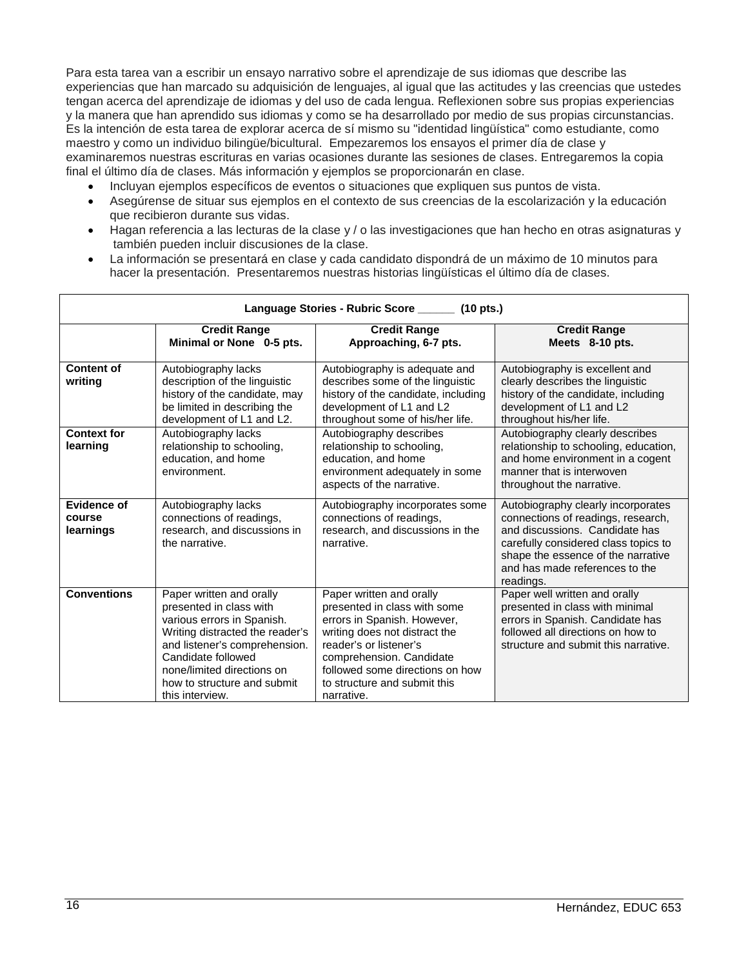Para esta tarea van a escribir un ensayo narrativo sobre el aprendizaje de sus idiomas que describe las experiencias que han marcado su adquisición de lenguajes, al igual que las actitudes y las creencias que ustedes tengan acerca del aprendizaje de idiomas y del uso de cada lengua. Reflexionen sobre sus propias experiencias y la manera que han aprendido sus idiomas y como se ha desarrollado por medio de sus propias circunstancias. Es la intención de esta tarea de explorar acerca de sí mismo su "identidad lingüística" como estudiante, como maestro y como un individuo bilingüe/bicultural. Empezaremos los ensayos el primer día de clase y examinaremos nuestras escrituras en varias ocasiones durante las sesiones de clases. Entregaremos la copia final el último día de clases. Más información y ejemplos se proporcionarán en clase.

- Incluyan ejemplos específicos de eventos o situaciones que expliquen sus puntos de vista.
- Asegúrense de situar sus ejemplos en el contexto de sus creencias de la escolarización y la educación que recibieron durante sus vidas.
- Hagan referencia a las lecturas de la clase y / o las investigaciones que han hecho en otras asignaturas y también pueden incluir discusiones de la clase.
- La información se presentará en clase y cada candidato dispondrá de un máximo de 10 minutos para hacer la presentación. Presentaremos nuestras historias lingüísticas el último día de clases.

| Language Stories - Rubric Score ________ (10 pts.) |                                                                                                                                                                                                                                                             |                                                                                                                                                                                                                                                                 |                                                                                                                                                                                                                                         |
|----------------------------------------------------|-------------------------------------------------------------------------------------------------------------------------------------------------------------------------------------------------------------------------------------------------------------|-----------------------------------------------------------------------------------------------------------------------------------------------------------------------------------------------------------------------------------------------------------------|-----------------------------------------------------------------------------------------------------------------------------------------------------------------------------------------------------------------------------------------|
|                                                    | <b>Credit Range</b><br>Minimal or None 0-5 pts.                                                                                                                                                                                                             | <b>Credit Range</b><br>Approaching, 6-7 pts.                                                                                                                                                                                                                    | <b>Credit Range</b><br>Meets 8-10 pts.                                                                                                                                                                                                  |
| <b>Content of</b><br>writing                       | Autobiography lacks<br>description of the linguistic<br>history of the candidate, may<br>be limited in describing the<br>development of L1 and L2.                                                                                                          | Autobiography is adequate and<br>describes some of the linguistic<br>history of the candidate, including<br>development of L1 and L2<br>throughout some of his/her life.                                                                                        | Autobiography is excellent and<br>clearly describes the linguistic<br>history of the candidate, including<br>development of L1 and L2<br>throughout his/her life.                                                                       |
| <b>Context for</b><br>learning                     | Autobiography lacks<br>relationship to schooling,<br>education, and home<br>environment.                                                                                                                                                                    | Autobiography describes<br>relationship to schooling,<br>education, and home<br>environment adequately in some<br>aspects of the narrative.                                                                                                                     | Autobiography clearly describes<br>relationship to schooling, education,<br>and home environment in a cogent<br>manner that is interwoven<br>throughout the narrative.                                                                  |
| Evidence of<br>course<br>learnings                 | Autobiography lacks<br>connections of readings,<br>research, and discussions in<br>the narrative.                                                                                                                                                           | Autobiography incorporates some<br>connections of readings,<br>research, and discussions in the<br>narrative.                                                                                                                                                   | Autobiography clearly incorporates<br>connections of readings, research,<br>and discussions. Candidate has<br>carefully considered class topics to<br>shape the essence of the narrative<br>and has made references to the<br>readings. |
| <b>Conventions</b>                                 | Paper written and orally<br>presented in class with<br>various errors in Spanish.<br>Writing distracted the reader's<br>and listener's comprehension.<br>Candidate followed<br>none/limited directions on<br>how to structure and submit<br>this interview. | Paper written and orally<br>presented in class with some<br>errors in Spanish. However,<br>writing does not distract the<br>reader's or listener's<br>comprehension. Candidate<br>followed some directions on how<br>to structure and submit this<br>narrative. | Paper well written and orally<br>presented in class with minimal<br>errors in Spanish. Candidate has<br>followed all directions on how to<br>structure and submit this narrative.                                                       |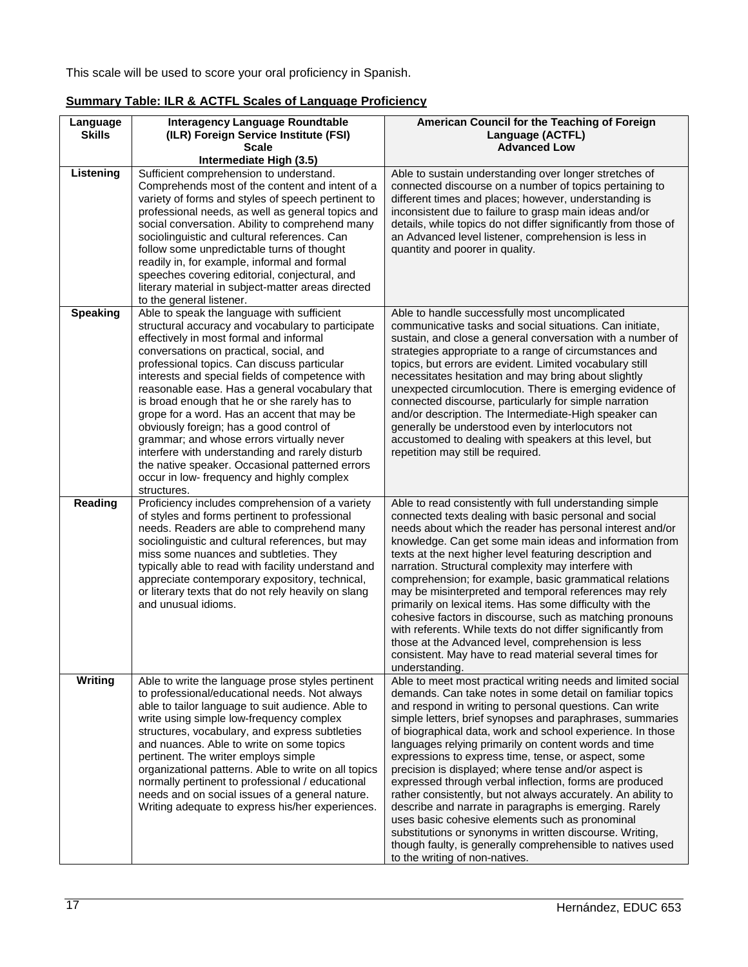This scale will be used to score your oral proficiency in Spanish.

| Language<br><b>Skills</b> | Interagency Language Roundtable<br>(ILR) Foreign Service Institute (FSI)<br><b>Scale</b>                                                                                                                                                                                                                                                                                                                                                                                                                                                                                                                                                                                                             | American Council for the Teaching of Foreign<br>Language (ACTFL)<br><b>Advanced Low</b>                                                                                                                                                                                                                                                                                                                                                                                                                                                                                                                                                                                                                                                                                                                                                                                                      |
|---------------------------|------------------------------------------------------------------------------------------------------------------------------------------------------------------------------------------------------------------------------------------------------------------------------------------------------------------------------------------------------------------------------------------------------------------------------------------------------------------------------------------------------------------------------------------------------------------------------------------------------------------------------------------------------------------------------------------------------|----------------------------------------------------------------------------------------------------------------------------------------------------------------------------------------------------------------------------------------------------------------------------------------------------------------------------------------------------------------------------------------------------------------------------------------------------------------------------------------------------------------------------------------------------------------------------------------------------------------------------------------------------------------------------------------------------------------------------------------------------------------------------------------------------------------------------------------------------------------------------------------------|
|                           | Intermediate High (3.5)                                                                                                                                                                                                                                                                                                                                                                                                                                                                                                                                                                                                                                                                              |                                                                                                                                                                                                                                                                                                                                                                                                                                                                                                                                                                                                                                                                                                                                                                                                                                                                                              |
| Listening                 | Sufficient comprehension to understand.<br>Comprehends most of the content and intent of a<br>variety of forms and styles of speech pertinent to<br>professional needs, as well as general topics and<br>social conversation. Ability to comprehend many<br>sociolinguistic and cultural references. Can<br>follow some unpredictable turns of thought<br>readily in, for example, informal and formal<br>speeches covering editorial, conjectural, and<br>literary material in subject-matter areas directed<br>to the general listener.                                                                                                                                                            | Able to sustain understanding over longer stretches of<br>connected discourse on a number of topics pertaining to<br>different times and places; however, understanding is<br>inconsistent due to failure to grasp main ideas and/or<br>details, while topics do not differ significantly from those of<br>an Advanced level listener, comprehension is less in<br>quantity and poorer in quality.                                                                                                                                                                                                                                                                                                                                                                                                                                                                                           |
| <b>Speaking</b>           | Able to speak the language with sufficient<br>structural accuracy and vocabulary to participate<br>effectively in most formal and informal<br>conversations on practical, social, and<br>professional topics. Can discuss particular<br>interests and special fields of competence with<br>reasonable ease. Has a general vocabulary that<br>is broad enough that he or she rarely has to<br>grope for a word. Has an accent that may be<br>obviously foreign; has a good control of<br>grammar; and whose errors virtually never<br>interfere with understanding and rarely disturb<br>the native speaker. Occasional patterned errors<br>occur in low- frequency and highly complex<br>structures. | Able to handle successfully most uncomplicated<br>communicative tasks and social situations. Can initiate,<br>sustain, and close a general conversation with a number of<br>strategies appropriate to a range of circumstances and<br>topics, but errors are evident. Limited vocabulary still<br>necessitates hesitation and may bring about slightly<br>unexpected circumlocution. There is emerging evidence of<br>connected discourse, particularly for simple narration<br>and/or description. The Intermediate-High speaker can<br>generally be understood even by interlocutors not<br>accustomed to dealing with speakers at this level, but<br>repetition may still be required.                                                                                                                                                                                                    |
| Reading                   | Proficiency includes comprehension of a variety<br>of styles and forms pertinent to professional<br>needs. Readers are able to comprehend many<br>sociolinguistic and cultural references, but may<br>miss some nuances and subtleties. They<br>typically able to read with facility understand and<br>appreciate contemporary expository, technical,<br>or literary texts that do not rely heavily on slang<br>and unusual idioms.                                                                                                                                                                                                                                                                  | Able to read consistently with full understanding simple<br>connected texts dealing with basic personal and social<br>needs about which the reader has personal interest and/or<br>knowledge. Can get some main ideas and information from<br>texts at the next higher level featuring description and<br>narration. Structural complexity may interfere with<br>comprehension; for example, basic grammatical relations<br>may be misinterpreted and temporal references may rely<br>primarily on lexical items. Has some difficulty with the<br>cohesive factors in discourse, such as matching pronouns<br>with referents. While texts do not differ significantly from<br>those at the Advanced level, comprehension is less<br>consistent. May have to read material several times for<br>understanding.                                                                                |
| Writing                   | Able to write the language prose styles pertinent<br>to professional/educational needs. Not always<br>able to tailor language to suit audience. Able to<br>write using simple low-frequency complex<br>structures, vocabulary, and express subtleties<br>and nuances. Able to write on some topics<br>pertinent. The writer employs simple<br>organizational patterns. Able to write on all topics<br>normally pertinent to professional / educational<br>needs and on social issues of a general nature.<br>Writing adequate to express his/her experiences.                                                                                                                                        | Able to meet most practical writing needs and limited social<br>demands. Can take notes in some detail on familiar topics<br>and respond in writing to personal questions. Can write<br>simple letters, brief synopses and paraphrases, summaries<br>of biographical data, work and school experience. In those<br>languages relying primarily on content words and time<br>expressions to express time, tense, or aspect, some<br>precision is displayed; where tense and/or aspect is<br>expressed through verbal inflection, forms are produced<br>rather consistently, but not always accurately. An ability to<br>describe and narrate in paragraphs is emerging. Rarely<br>uses basic cohesive elements such as pronominal<br>substitutions or synonyms in written discourse. Writing,<br>though faulty, is generally comprehensible to natives used<br>to the writing of non-natives. |

## <span id="page-16-0"></span>**Summary Table: ILR & ACTFL Scales of Language Proficiency**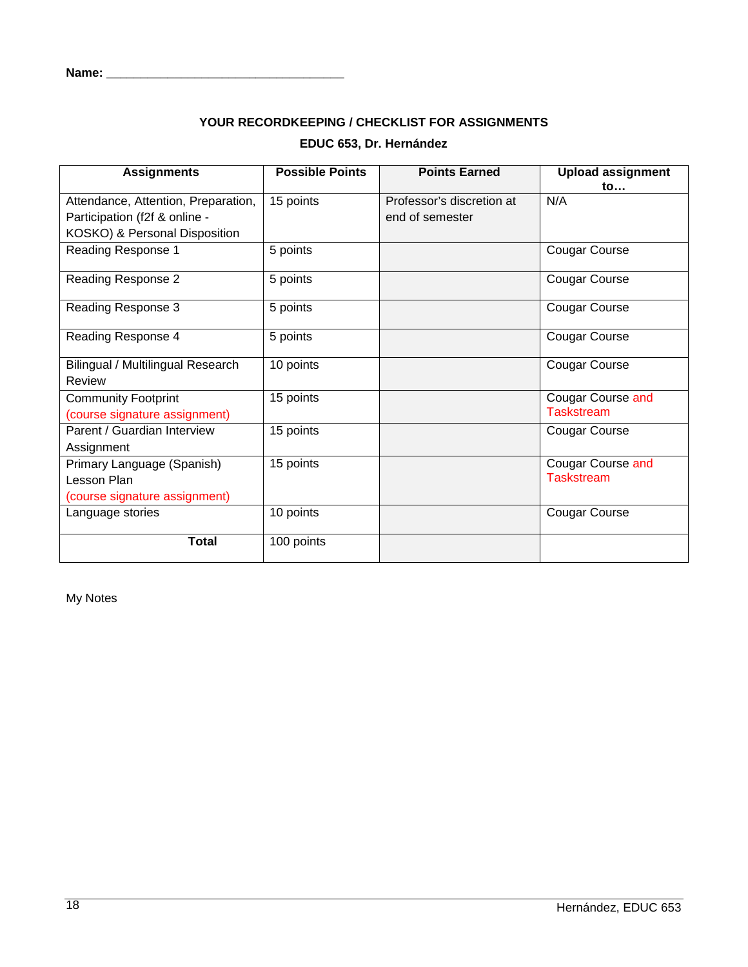#### <span id="page-17-0"></span>**Name: \_\_\_\_\_\_\_\_\_\_\_\_\_\_\_\_\_\_\_\_\_\_\_\_\_\_\_\_\_\_\_\_\_\_\_**

# **YOUR RECORDKEEPING / CHECKLIST FOR ASSIGNMENTS EDUC 653, Dr. Hernández**

| <b>Assignments</b>                  | <b>Possible Points</b> | <b>Points Earned</b>      | <b>Upload assignment</b><br>to |
|-------------------------------------|------------------------|---------------------------|--------------------------------|
| Attendance, Attention, Preparation, | 15 points              | Professor's discretion at | N/A                            |
| Participation (f2f & online -       |                        | end of semester           |                                |
| KOSKO) & Personal Disposition       |                        |                           |                                |
| Reading Response 1                  | 5 points               |                           | <b>Cougar Course</b>           |
| Reading Response 2                  | 5 points               |                           | <b>Cougar Course</b>           |
| Reading Response 3                  | 5 points               |                           | <b>Cougar Course</b>           |
| Reading Response 4                  | 5 points               |                           | <b>Cougar Course</b>           |
| Bilingual / Multilingual Research   | 10 points              |                           | <b>Cougar Course</b>           |
| Review                              |                        |                           |                                |
| <b>Community Footprint</b>          | 15 points              |                           | Cougar Course and              |
| (course signature assignment)       |                        |                           | <b>Taskstream</b>              |
| Parent / Guardian Interview         | 15 points              |                           | <b>Cougar Course</b>           |
| Assignment                          |                        |                           |                                |
| Primary Language (Spanish)          | 15 points              |                           | <b>Cougar Course and</b>       |
| Lesson Plan                         |                        |                           | <b>Taskstream</b>              |
| (course signature assignment)       |                        |                           |                                |
| Language stories                    | 10 points              |                           | <b>Cougar Course</b>           |
| <b>Total</b>                        | 100 points             |                           |                                |

My Notes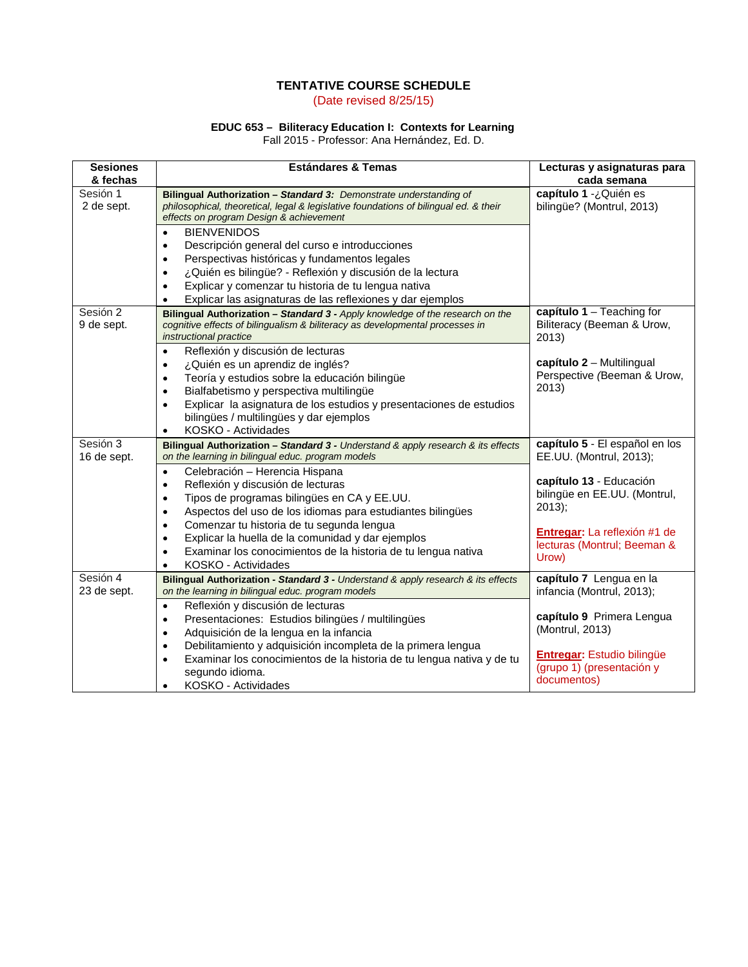### **TENTATIVE COURSE SCHEDULE** (Date revised 8/25/15)

#### **EDUC 653 – Biliteracy Education I: Contexts for Learning**

Fall 2015 - Professor: Ana Hernández, Ed. D.

<span id="page-18-0"></span>

| <b>Sesiones</b><br>& fechas | <b>Estándares &amp; Temas</b>                                                                                                                                                                                                                                                                                                                                                            | Lecturas y asignaturas para<br>cada semana                                    |
|-----------------------------|------------------------------------------------------------------------------------------------------------------------------------------------------------------------------------------------------------------------------------------------------------------------------------------------------------------------------------------------------------------------------------------|-------------------------------------------------------------------------------|
| Sesión 1<br>2 de sept.      | Bilingual Authorization - Standard 3: Demonstrate understanding of<br>philosophical, theoretical, legal & legislative foundations of bilingual ed. & their<br>effects on program Design & achievement                                                                                                                                                                                    | capítulo 1 -¿Quién es<br>bilingüe? (Montrul, 2013)                            |
|                             | <b>BIENVENIDOS</b><br>$\bullet$<br>Descripción general del curso e introducciones<br>$\bullet$<br>Perspectivas históricas y fundamentos legales<br>$\bullet$<br>¿Quién es bilingüe? - Reflexión y discusión de la lectura<br>$\bullet$<br>Explicar y comenzar tu historia de tu lengua nativa<br>$\bullet$<br>Explicar las asignaturas de las reflexiones y dar ejemplos<br>٠            |                                                                               |
| Sesión 2<br>9 de sept.      | Bilingual Authorization - Standard 3 - Apply knowledge of the research on the<br>cognitive effects of bilingualism & biliteracy as developmental processes in<br>instructional practice                                                                                                                                                                                                  | capítulo $1 -$ Teaching for<br>Biliteracy (Beeman & Urow,<br>2013             |
|                             | Reflexión y discusión de lecturas<br>$\bullet$<br>¿Quién es un aprendiz de inglés?<br>$\bullet$<br>Teoría y estudios sobre la educación bilingüe<br>$\bullet$<br>Bialfabetismo y perspectiva multilingüe<br>$\bullet$<br>Explicar la asignatura de los estudios y presentaciones de estudios<br>$\bullet$<br>bilingües / multilingües y dar ejemplos<br>KOSKO - Actividades<br>$\bullet$ | capítulo 2 - Multilingual<br>Perspective (Beeman & Urow,<br>2013)             |
| Sesión 3<br>16 de sept.     | Bilingual Authorization - Standard 3 - Understand & apply research & its effects<br>on the learning in bilingual educ. program models                                                                                                                                                                                                                                                    | capítulo 5 - El español en los<br>EE.UU. (Montrul, 2013);                     |
|                             | Celebración - Herencia Hispana<br>$\bullet$<br>Reflexión y discusión de lecturas<br>$\bullet$<br>Tipos de programas bilingües en CA y EE.UU.<br>$\bullet$<br>Aspectos del uso de los idiomas para estudiantes bilingües<br>$\bullet$                                                                                                                                                     | capítulo 13 - Educación<br>bilingüe en EE.UU. (Montrul,<br>$2013$ ;           |
|                             | Comenzar tu historia de tu segunda lengua<br>$\bullet$<br>Explicar la huella de la comunidad y dar ejemplos<br>$\bullet$<br>Examinar los conocimientos de la historia de tu lengua nativa<br>$\bullet$<br>KOSKO - Actividades<br>$\bullet$                                                                                                                                               | Entregar: La reflexión #1 de<br>lecturas (Montrul; Beeman &<br>Urow)          |
| Sesión 4<br>23 de sept.     | Bilingual Authorization - Standard 3 - Understand & apply research & its effects<br>on the learning in bilingual educ. program models                                                                                                                                                                                                                                                    | capítulo 7 Lengua en la<br>infancia (Montrul, 2013);                          |
|                             | Reflexión y discusión de lecturas<br>$\bullet$<br>Presentaciones: Estudios bilingües / multilingües<br>$\bullet$<br>Adquisición de la lengua en la infancia<br>$\bullet$                                                                                                                                                                                                                 | capítulo 9 Primera Lengua<br>(Montrul, 2013)                                  |
|                             | Debilitamiento y adquisición incompleta de la primera lengua<br>$\bullet$<br>Examinar los conocimientos de la historia de tu lengua nativa y de tu<br>$\bullet$<br>segundo idioma.<br>KOSKO - Actividades<br>$\bullet$                                                                                                                                                                   | <b>Entregar:</b> Estudio bilingüe<br>(grupo 1) (presentación y<br>documentos) |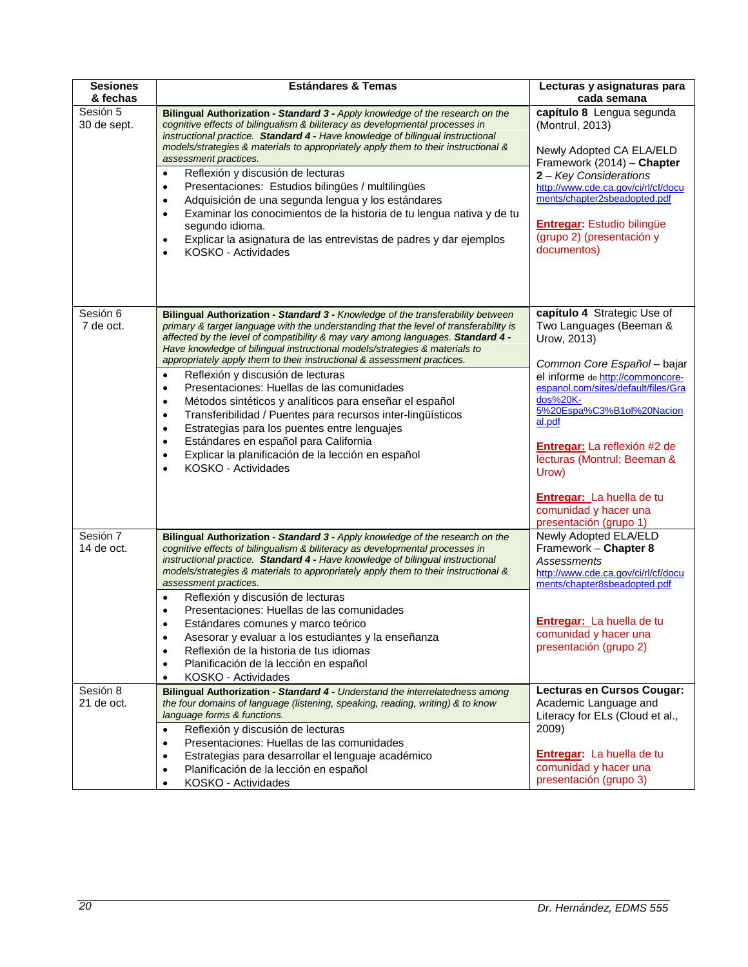| <b>Sesiones</b><br>& fechas | <b>Estándares &amp; Temas</b>                                                                                                                                                                                                                                                                                                                                                                                                                                                                                                                                                                                                                                                                                                                                                                                                                                                                                   | Lecturas y asignaturas para<br>cada semana                                                                                                                                                                                                                                                                                                                                                        |
|-----------------------------|-----------------------------------------------------------------------------------------------------------------------------------------------------------------------------------------------------------------------------------------------------------------------------------------------------------------------------------------------------------------------------------------------------------------------------------------------------------------------------------------------------------------------------------------------------------------------------------------------------------------------------------------------------------------------------------------------------------------------------------------------------------------------------------------------------------------------------------------------------------------------------------------------------------------|---------------------------------------------------------------------------------------------------------------------------------------------------------------------------------------------------------------------------------------------------------------------------------------------------------------------------------------------------------------------------------------------------|
| Sesión 5<br>30 de sept.     | Bilingual Authorization - Standard 3 - Apply knowledge of the research on the<br>cognitive effects of bilingualism & biliteracy as developmental processes in<br>instructional practice. Standard 4 - Have knowledge of bilingual instructional<br>models/strategies & materials to appropriately apply them to their instructional &<br>assessment practices.<br>Reflexión y discusión de lecturas<br>$\bullet$                                                                                                                                                                                                                                                                                                                                                                                                                                                                                                | capítulo 8 Lengua segunda<br>(Montrul, 2013)<br>Newly Adopted CA ELA/ELD<br>Framework (2014) - Chapter                                                                                                                                                                                                                                                                                            |
|                             | Presentaciones: Estudios bilingües / multilingües<br>$\bullet$<br>Adquisición de una segunda lengua y los estándares<br>$\bullet$<br>Examinar los conocimientos de la historia de tu lengua nativa y de tu<br>٠<br>segundo idioma.<br>Explicar la asignatura de las entrevistas de padres y dar ejemplos<br>٠<br>KOSKO - Actividades<br>$\bullet$                                                                                                                                                                                                                                                                                                                                                                                                                                                                                                                                                               | 2 - Key Considerations<br>http://www.cde.ca.gov/ci/rl/cf/docu<br>ments/chapter2sbeadopted.pdf<br><b>Entregar:</b> Estudio bilingüe<br>(grupo 2) (presentación y<br>documentos)                                                                                                                                                                                                                    |
| Sesión 6<br>7 de oct.       | Bilingual Authorization - Standard 3 - Knowledge of the transferability between<br>primary & target language with the understanding that the level of transferability is<br>affected by the level of compatibility & may vary among languages. Standard 4 -<br>Have knowledge of bilingual instructional models/strategies & materials to<br>appropriately apply them to their instructional & assessment practices.<br>Reflexión y discusión de lecturas<br>$\bullet$<br>Presentaciones: Huellas de las comunidades<br>$\bullet$<br>Métodos sintéticos y analíticos para enseñar el español<br>$\bullet$<br>Transferibilidad / Puentes para recursos inter-lingüísticos<br>$\bullet$<br>Estrategias para los puentes entre lenguajes<br>$\bullet$<br>Estándares en español para California<br>$\bullet$<br>Explicar la planificación de la lección en español<br>$\bullet$<br>KOSKO - Actividades<br>$\bullet$ | capítulo 4 Strategic Use of<br>Two Languages (Beeman &<br>Urow, 2013)<br>Common Core Español - bajar<br>el informe de http://commoncore-<br>espanol.com/sites/default/files/Gra<br>dos%20K-<br>5%20Espa%C3%B1ol%20Nacion<br>al.pdf<br>Entregar: La reflexión #2 de<br>lecturas (Montrul; Beeman &<br>Urow)<br><b>Entregar:</b> La huella de tu<br>comunidad y hacer una<br>presentación (grupo 1) |
| Sesión 7<br>14 de oct.      | Bilingual Authorization - Standard 3 - Apply knowledge of the research on the<br>cognitive effects of bilingualism & biliteracy as developmental processes in<br>instructional practice. Standard 4 - Have knowledge of bilingual instructional<br>models/strategies & materials to appropriately apply them to their instructional &<br>assessment practices.<br>Reflexión y discusión de lecturas<br>$\bullet$<br>Presentaciones: Huellas de las comunidades<br>٠<br>Estándares comunes y marco teórico<br>Asesorar y evaluar a los estudiantes y la enseñanza<br>٠<br>Reflexión de la historia de tus idiomas<br>$\bullet$<br>Planificación de la lección en español<br>$\bullet$<br>KOSKO - Actividades<br>$\bullet$                                                                                                                                                                                        | Newly Adopted ELA/ELD<br>Framework - Chapter 8<br>Assessments<br>http://www.cde.ca.gov/ci/rl/cf/docu<br>ments/chapter8sbeadopted.pdf<br><b>Entregar:</b> La huella de tu<br>comunidad y hacer una<br>presentación (grupo 2)                                                                                                                                                                       |
| Sesión 8<br>21 de oct.      | Bilingual Authorization - Standard 4 - Understand the interrelatedness among<br>the four domains of language (listening, speaking, reading, writing) & to know<br>language forms & functions.<br>Reflexión y discusión de lecturas<br>$\bullet$<br>Presentaciones: Huellas de las comunidades<br>$\bullet$<br>Estrategias para desarrollar el lenguaje académico<br>$\bullet$<br>Planificación de la lección en español<br>$\bullet$<br>KOSKO - Actividades<br>$\bullet$                                                                                                                                                                                                                                                                                                                                                                                                                                        | Lecturas en Cursos Cougar:<br>Academic Language and<br>Literacy for ELs (Cloud et al.,<br>2009)<br><b>Entregar:</b> La huella de tu<br>comunidad y hacer una<br>presentación (grupo 3)                                                                                                                                                                                                            |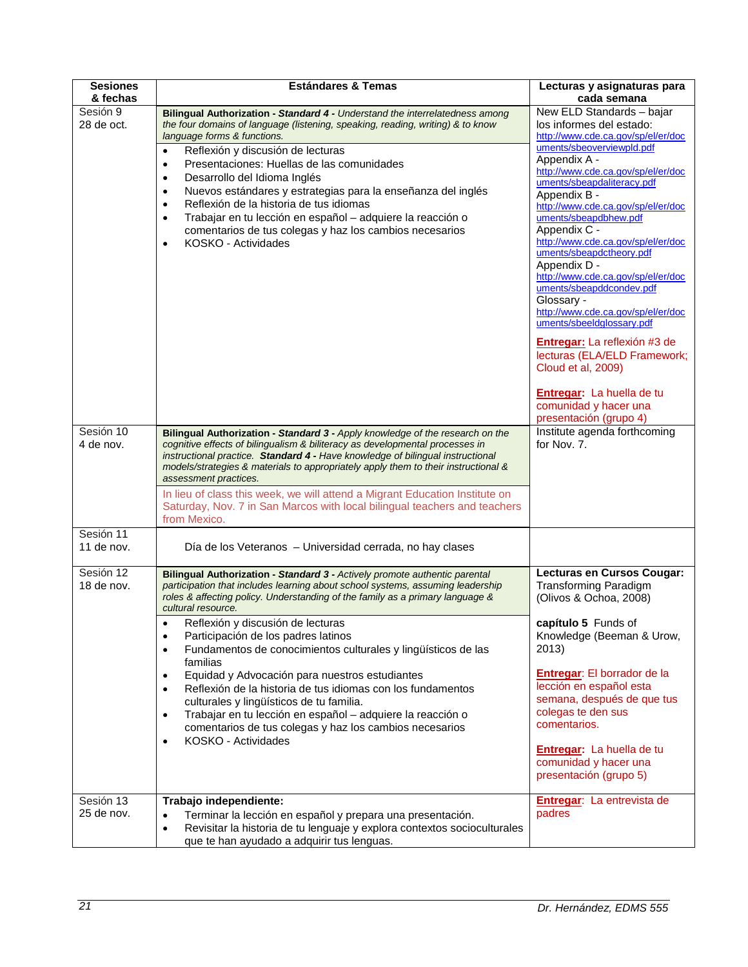| <b>Sesiones</b><br>& fechas | <b>Estándares &amp; Temas</b>                                                                                                                                                                                                                                                                                                                                                                                                                                                                                                                                                                                                                                                                                                                                                                                           | Lecturas y asignaturas para<br>cada semana                                                                                                                                                                                                                                                                                                                                                                                                                                                                                                                                                                                                                                                                             |
|-----------------------------|-------------------------------------------------------------------------------------------------------------------------------------------------------------------------------------------------------------------------------------------------------------------------------------------------------------------------------------------------------------------------------------------------------------------------------------------------------------------------------------------------------------------------------------------------------------------------------------------------------------------------------------------------------------------------------------------------------------------------------------------------------------------------------------------------------------------------|------------------------------------------------------------------------------------------------------------------------------------------------------------------------------------------------------------------------------------------------------------------------------------------------------------------------------------------------------------------------------------------------------------------------------------------------------------------------------------------------------------------------------------------------------------------------------------------------------------------------------------------------------------------------------------------------------------------------|
| Sesión 9<br>28 de oct.      | Bilingual Authorization - Standard 4 - Understand the interrelatedness among<br>the four domains of language (listening, speaking, reading, writing) & to know<br>language forms & functions.<br>Reflexión y discusión de lecturas<br>$\bullet$<br>Presentaciones: Huellas de las comunidades<br>$\bullet$<br>Desarrollo del Idioma Inglés<br>$\bullet$<br>Nuevos estándares y estrategias para la enseñanza del inglés<br>$\bullet$<br>Reflexión de la historia de tus idiomas<br>$\bullet$<br>Trabajar en tu lección en español - adquiere la reacción o<br>$\bullet$<br>comentarios de tus colegas y haz los cambios necesarios<br>KOSKO - Actividades<br>$\bullet$                                                                                                                                                  | New ELD Standards - bajar<br>los informes del estado:<br>http://www.cde.ca.gov/sp/el/er/doc<br>uments/sbeoverviewpld.pdf<br>Appendix A -<br>http://www.cde.ca.gov/sp/el/er/doc<br>uments/sbeapdaliteracy.pdf<br>Appendix B -<br>http://www.cde.ca.gov/sp/el/er/doc<br>uments/sbeapdbhew.pdf<br>Appendix C -<br>http://www.cde.ca.gov/sp/el/er/doc<br>uments/sbeapdctheory.pdf<br>Appendix D -<br>http://www.cde.ca.gov/sp/el/er/doc<br>uments/sbeapddcondev.pdf<br>Glossary -<br>http://www.cde.ca.gov/sp/el/er/doc<br>uments/sbeeldglossary.pdf<br>Entregar: La reflexión #3 de<br>lecturas (ELA/ELD Framework;<br>Cloud et al, 2009)<br>Entregar: La huella de tu<br>comunidad y hacer una<br>presentación (grupo 4) |
| Sesión 10<br>4 de nov.      | Bilingual Authorization - Standard 3 - Apply knowledge of the research on the<br>cognitive effects of bilingualism & biliteracy as developmental processes in<br>instructional practice. Standard 4 - Have knowledge of bilingual instructional<br>models/strategies & materials to appropriately apply them to their instructional &<br>assessment practices.<br>In lieu of class this week, we will attend a Migrant Education Institute on<br>Saturday, Nov. 7 in San Marcos with local bilingual teachers and teachers<br>from Mexico.                                                                                                                                                                                                                                                                              | Institute agenda forthcoming<br>for Nov. 7.                                                                                                                                                                                                                                                                                                                                                                                                                                                                                                                                                                                                                                                                            |
| Sesión 11<br>11 de nov.     | Día de los Veteranos - Universidad cerrada, no hay clases                                                                                                                                                                                                                                                                                                                                                                                                                                                                                                                                                                                                                                                                                                                                                               |                                                                                                                                                                                                                                                                                                                                                                                                                                                                                                                                                                                                                                                                                                                        |
| Sesión 12<br>18 de nov.     | Bilingual Authorization - Standard 3 - Actively promote authentic parental<br>participation that includes learning about school systems, assuming leadership<br>roles & affecting policy. Understanding of the family as a primary language &<br>cultural resource.<br>Reflexión y discusión de lecturas<br>Participación de los padres latinos<br>$\bullet$<br>Fundamentos de conocimientos culturales y lingüísticos de las<br>$\bullet$<br>familias<br>Equidad y Advocación para nuestros estudiantes<br>$\bullet$<br>Reflexión de la historia de tus idiomas con los fundamentos<br>$\bullet$<br>culturales y lingüísticos de tu familia.<br>Trabajar en tu lección en español - adquiere la reacción o<br>$\bullet$<br>comentarios de tus colegas y haz los cambios necesarios<br>KOSKO - Actividades<br>$\bullet$ | Lecturas en Cursos Cougar:<br><b>Transforming Paradigm</b><br>(Olivos & Ochoa, 2008)<br>capítulo 5 Funds of<br>Knowledge (Beeman & Urow,<br>2013)<br>Entregar: El borrador de la<br>lección en español esta<br>semana, después de que tus<br>colegas te den sus<br>comentarios.<br>Entregar: La huella de tu<br>comunidad y hacer una<br>presentación (grupo 5)                                                                                                                                                                                                                                                                                                                                                        |
| Sesión 13<br>25 de nov.     | Trabajo independiente:<br>Terminar la lección en español y prepara una presentación.<br>$\bullet$<br>Revisitar la historia de tu lenguaje y explora contextos socioculturales<br>$\bullet$<br>que te han ayudado a adquirir tus lenguas.                                                                                                                                                                                                                                                                                                                                                                                                                                                                                                                                                                                | Entregar: La entrevista de<br>padres                                                                                                                                                                                                                                                                                                                                                                                                                                                                                                                                                                                                                                                                                   |